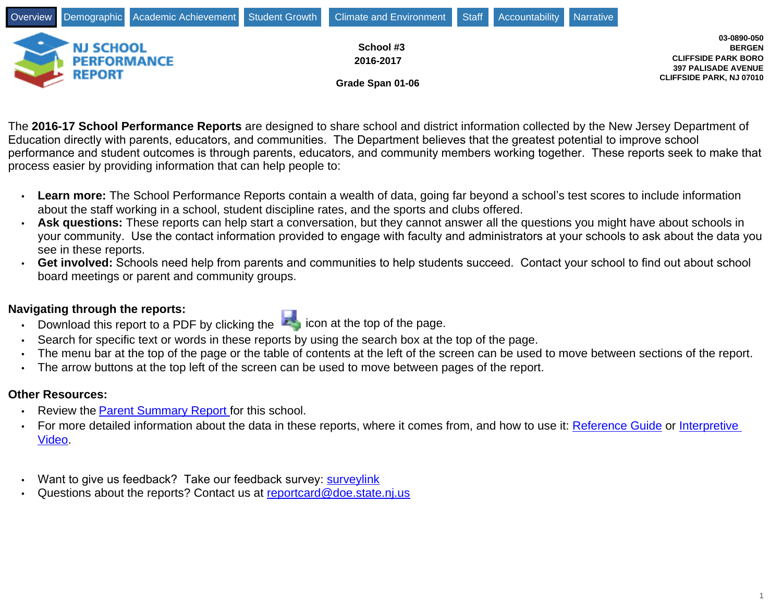

The **2016-17 School Performance Reports** are designed to share school and district information collected by the New Jersey Department of Education directly with parents, educators, and communities. The Department believes that the greatest potential to improve school performance and student outcomes is through parents, educators, and community members working together. These reports seek to make that process easier by providing information that can help people to:

- Learn more: The School Performance Reports contain a wealth of data, going far beyond a school's test scores to include information about the staff working in a school, student discipline rates, and the sports and clubs offered.
- **Ask questions:** These reports can help start a conversation, but they cannot answer all the questions you might have about schools in your community. Use the contact information provided to engage with faculty and administrators at your schools to ask about the data you see in these reports.
- Get involved: Schools need help from parents and communities to help students succeed. Contact your school to find out about school board meetings or parent and community groups.

# **Navigating through the reports:**

- Download this report to a PDF by clicking the **interport of the page.**
- Search for specific text or words in these reports by using the search box at the top of the page.
- The menu bar at the top of the page or the table of contents at the left of the screen can be used to move between sections of the report.
- The arrow buttons at the top left of the screen can be used to move between pages of the report.

# **Other Resources:**

- Review the Parent Summary Report for this school.
- For more detailed information about the data in these reports, where it comes from, and how to use it: [Reference Guide](https://rc.doe.state.nj.us/Documents/ReferenceGuide.html) or [Interpretive](https://rc.doe.state.nj.us/ELearning.html)  [Video.](https://rc.doe.state.nj.us/ELearning.html)
- Want to give us feedback? Take our feedback survey: [surveylink](https://rc.doe.state.nj.us/survey.html)
- Questions about the reports? Contact us at [reportcard@doe.state.nj.us](mailto:reportcard@doe.state.nj.us)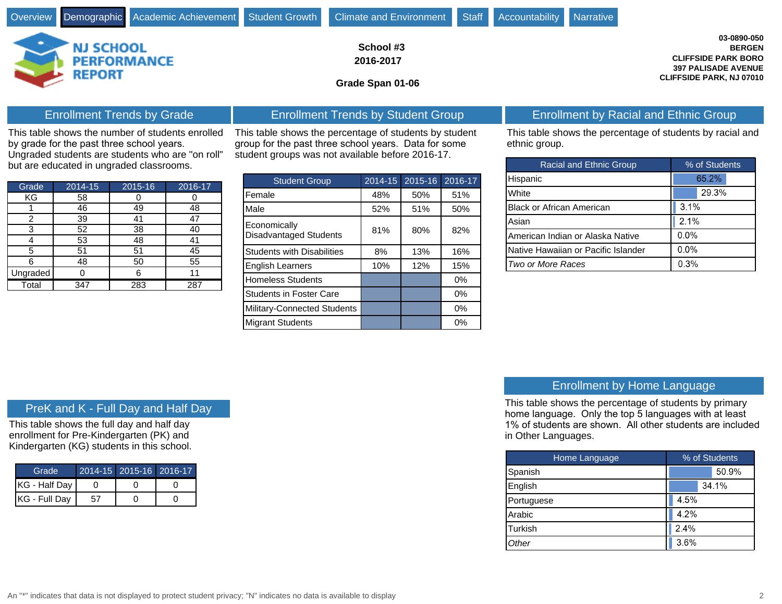

**School #3**

**2016-2017**

**Grade Span 01-06**

This table shows the number of students enrolled by grade for the past three school years.

Ungraded students are students who are "on roll" but are educated in ungraded classrooms.

| Grade    | $2014 - 15$ | 2015-16 | $2016 - 17$ |
|----------|-------------|---------|-------------|
| KG       | 58          |         |             |
|          | 46          | 49      | 48          |
| 2        | 39          | 41      | 47          |
| 3        | 52          | 38      | 40          |
|          | 53          | 48      | 41          |
| 5        | 51          | 51      | 45          |
|          | 48          | 50      | 55          |
| Ungraded |             |         | 11          |
| Total    | 347         | 283     | 287         |

This table shows the percentage of students by student group for the past three school years. Data for some student groups was not available before 2016-17.

| <b>Student Group</b>                          | 2014-15 | 2015-16 | 2016-17 |
|-----------------------------------------------|---------|---------|---------|
| Female                                        | 48%     | 50%     | 51%     |
| Male                                          | 52%     | 51%     | 50%     |
| Economically<br><b>Disadvantaged Students</b> | 81%     | 80%     | 82%     |
| <b>Students with Disabilities</b>             | 8%      | 13%     | 16%     |
| <b>English Learners</b>                       | 10%     | 12%     | 15%     |
| <b>Homeless Students</b>                      |         |         | 0%      |
| <b>Students in Foster Care</b>                |         |         | 0%      |
| Military-Connected Students                   |         |         | $0\%$   |
| <b>Migrant Students</b>                       |         |         | $0\%$   |

## Enrollment Trends by Grade **Enrollment Trends by Student Group** Enrollment by Racial and Ethnic Group

This table shows the percentage of students by racial and ethnic group.

**03-0890-050 BERGEN**

**CLIFFSIDE PARK BORO 397 PALISADE AVENUE CLIFFSIDE PARK, NJ 07010**

| <b>Racial and Ethnic Group</b>      | % of Students |  |  |  |  |
|-------------------------------------|---------------|--|--|--|--|
| Hispanic                            | 65.2%         |  |  |  |  |
| White                               | 29.3%         |  |  |  |  |
| <b>Black or African American</b>    | 3.1%          |  |  |  |  |
| Asian                               | 2.1%          |  |  |  |  |
| American Indian or Alaska Native    | 0.0%          |  |  |  |  |
| Native Hawaiian or Pacific Islander | 0.0%          |  |  |  |  |
| Two or More Races                   | 0.3%          |  |  |  |  |

### PreK and K - Full Day and Half Day

This table shows the full day and half day enrollment for Pre-Kindergarten (PK) and Kindergarten (KG) students in this school.

| Grade <sup>.</sup>      | 2014-15 2015-16 2016-17 |  |
|-------------------------|-------------------------|--|
| <b>IKG - Half Day I</b> |                         |  |
| KG - Full Day           |                         |  |

# Enrollment by Home Language

This table shows the percentage of students by primary home language. Only the top 5 languages with at least 1% of students are shown. All other students are included in Other Languages.

| Home Language | % of Students |       |  |  |  |
|---------------|---------------|-------|--|--|--|
| Spanish       |               | 50.9% |  |  |  |
| English       |               | 34.1% |  |  |  |
| Portuguese    | 4.5%          |       |  |  |  |
| Arabic        | 4.2%          |       |  |  |  |
| Turkish       | 2.4%          |       |  |  |  |
| <b>Other</b>  | 3.6%          |       |  |  |  |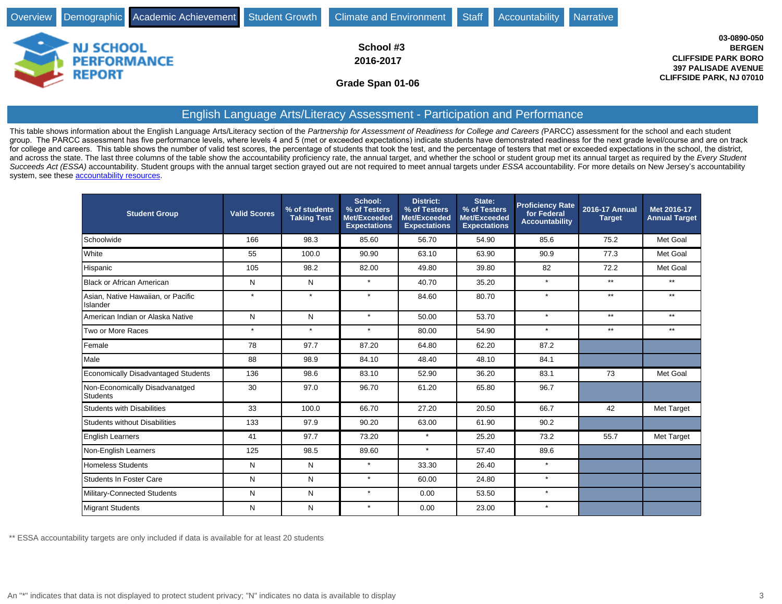|                                                         |  | Overview Demographic Academic Achievement Student Growth Climate and Environment Staff | Accountability Narrative |                                                                                                                             |
|---------------------------------------------------------|--|----------------------------------------------------------------------------------------|--------------------------|-----------------------------------------------------------------------------------------------------------------------------|
| <b>NJ SCHOOL</b><br><b>PERFORMANCE</b><br><b>REPORT</b> |  | School #3<br>2016-2017<br>Grade Span 01-06                                             |                          | 03-0890-050<br><b>BERGEN</b><br><b>CLIFFSIDE PARK BORO</b><br><b>397 PALISADE AVENUE</b><br><b>CLIFFSIDE PARK, NJ 07010</b> |

## English Language Arts/Literacy Assessment - Participation and Performance

This table shows information about the English Language Arts/Literacy section of the Partnership for Assessment of Readiness for College and Careers (PARCC) assessment for the school and each student group. The PARCC assessment has five performance levels, where levels 4 and 5 (met or exceeded expectations) indicate students have demonstrated readiness for the next grade level/course and are on track for college and careers. This table shows the number of valid test scores, the percentage of students that took the test, and the percentage of testers that met or exceeded expectations in the school, the district, and across the state. The last three columns of the table show the accountability proficiency rate, the annual target, and whether the school or student group met its annual target as required by the Every Student Succeeds Act (ESSA) accountability. Student groups with the annual target section grayed out are not required to meet annual targets under ESSA accountability. For more details on New Jersey's accountability system, see these **accountability resources**.

| <b>Student Group</b>                           | <b>Valid Scores</b> | % of students<br><b>Taking Test</b> | School:<br>% of Testers<br>Met/Exceeded<br><b>Expectations</b> | <b>District:</b><br>% of Testers<br>Met/Exceeded<br><b>Expectations</b> | State:<br>% of Testers<br>Met/Exceeded<br><b>Expectations</b> | <b>Proficiency Rate</b><br>for Federal<br><b>Accountability</b> | <b>2016-17 Annual</b><br><b>Target</b> | Met 2016-17<br><b>Annual Target</b> |
|------------------------------------------------|---------------------|-------------------------------------|----------------------------------------------------------------|-------------------------------------------------------------------------|---------------------------------------------------------------|-----------------------------------------------------------------|----------------------------------------|-------------------------------------|
| Schoolwide                                     | 166                 | 98.3                                | 85.60                                                          | 56.70                                                                   | 54.90                                                         | 85.6                                                            | 75.2                                   | Met Goal                            |
| White                                          | 55                  | 100.0                               | 90.90                                                          | 63.10                                                                   | 63.90                                                         | 90.9                                                            | 77.3                                   | Met Goal                            |
| Hispanic                                       | 105                 | 98.2                                | 82.00                                                          | 49.80                                                                   | 39.80                                                         | 82                                                              | 72.2                                   | Met Goal                            |
| Black or African American                      | N                   | N                                   | $\star$                                                        | 40.70                                                                   | 35.20                                                         | $\star$                                                         | $***$                                  | $***$                               |
| Asian, Native Hawaiian, or Pacific<br>Islander | $\star$             | $\star$                             | $\star$                                                        | 84.60                                                                   | 80.70                                                         | $\star$                                                         | $***$                                  | $**$                                |
| American Indian or Alaska Native               | N                   | N                                   | $\star$                                                        | 50.00                                                                   | 53.70                                                         | $\star$                                                         | $**$                                   | $***$                               |
| Two or More Races                              | $\star$             | $\star$                             | $\star$                                                        | 80.00                                                                   | 54.90                                                         | $\star$                                                         | $***$                                  | $**$                                |
| Female                                         | 78                  | 97.7                                | 87.20                                                          | 64.80                                                                   | 62.20                                                         | 87.2                                                            |                                        |                                     |
| Male                                           | 88                  | 98.9                                | 84.10                                                          | 48.40                                                                   | 48.10                                                         | 84.1                                                            |                                        |                                     |
| <b>Economically Disadvantaged Students</b>     | 136                 | 98.6                                | 83.10                                                          | 52.90                                                                   | 36.20                                                         | 83.1                                                            | 73                                     | Met Goal                            |
| Non-Economically Disadvanatged<br>Students     | 30                  | 97.0                                | 96.70                                                          | 61.20                                                                   | 65.80                                                         | 96.7                                                            |                                        |                                     |
| Students with Disabilities                     | 33                  | 100.0                               | 66.70                                                          | 27.20                                                                   | 20.50                                                         | 66.7                                                            | 42                                     | Met Target                          |
| Students without Disabilities                  | 133                 | 97.9                                | 90.20                                                          | 63.00                                                                   | 61.90                                                         | 90.2                                                            |                                        |                                     |
| <b>English Learners</b>                        | 41                  | 97.7                                | 73.20                                                          | $\star$                                                                 | 25.20                                                         | 73.2                                                            | 55.7                                   | Met Target                          |
| Non-English Learners                           | 125                 | 98.5                                | 89.60                                                          | $\star$                                                                 | 57.40                                                         | 89.6                                                            |                                        |                                     |
| <b>Homeless Students</b>                       | N                   | N                                   | $\star$                                                        | 33.30                                                                   | 26.40                                                         | $\star$                                                         |                                        |                                     |
| Students In Foster Care                        | N                   | N                                   | $\star$                                                        | 60.00                                                                   | 24.80                                                         | $\star$                                                         |                                        |                                     |
| Military-Connected Students                    | N                   | N                                   | $\star$                                                        | 0.00                                                                    | 53.50                                                         | $\star$                                                         |                                        |                                     |
| Migrant Students                               | N                   | N                                   | $\star$                                                        | 0.00                                                                    | 23.00                                                         | $\star$                                                         |                                        |                                     |

\*\* ESSA accountability targets are only included if data is available for at least 20 students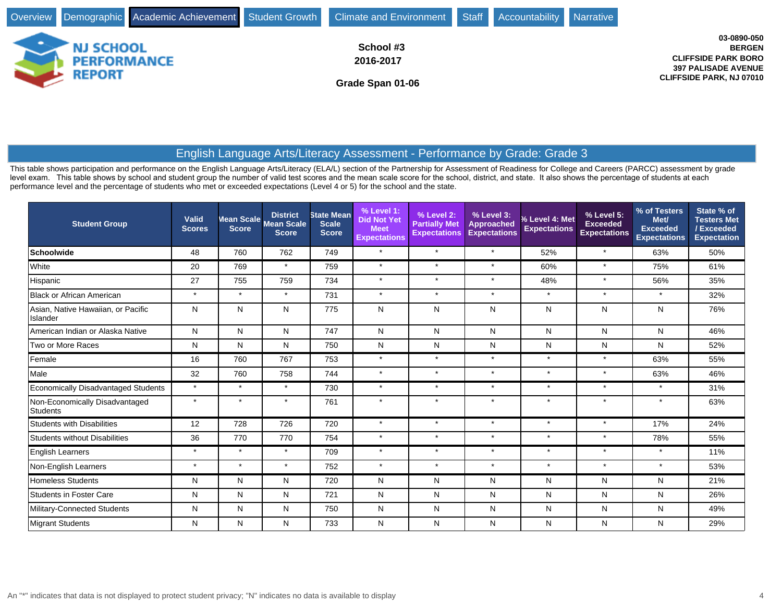

This table shows participation and performance on the English Language Arts/Literacy (ELA/L) section of the Partnership for Assessment of Readiness for College and Careers (PARCC) assessment by grade level exam. This table shows by school and student group the number of valid test scores and the mean scale score for the school, district, and state. It also shows the percentage of students at each performance level and the percentage of students who met or exceeded expectations (Level 4 or 5) for the school and the state.

| <b>Student Group</b>                           | <b>Valid</b><br><b>Scores</b> | <b>Score</b> | <b>District</b><br>Mean Scale Mean Scale<br><b>Score</b> | <b>State Mean</b><br><b>Scale</b><br><b>Score</b> | % Level 1:<br><b>Did Not Yet</b><br><b>Meet</b><br><b>Expectations</b> | % Level 2:<br><b>Partially Met</b><br><b>Expectations</b> | % Level 3:<br><b>Approached</b><br><b>Expectations</b> | % Level 4: Met<br><b>Expectations</b> | % Level 5:<br><b>Exceeded</b><br><b>Expectations</b> | % of Testers<br>Met/<br><b>Exceeded</b><br><b>Expectations</b> | State % of<br><b>Testers Met</b><br>/Exceeded<br><b>Expectation</b> |
|------------------------------------------------|-------------------------------|--------------|----------------------------------------------------------|---------------------------------------------------|------------------------------------------------------------------------|-----------------------------------------------------------|--------------------------------------------------------|---------------------------------------|------------------------------------------------------|----------------------------------------------------------------|---------------------------------------------------------------------|
| Schoolwide                                     | 48                            | 760          | 762                                                      | 749                                               | $\star$                                                                | $\star$                                                   | $\star$                                                | 52%                                   | $\star$                                              | 63%                                                            | 50%                                                                 |
| White                                          | 20                            | 769          | $\star$                                                  | 759                                               | $\star$                                                                | $\star$                                                   | $\star$                                                | 60%                                   | $\star$                                              | 75%                                                            | 61%                                                                 |
| Hispanic                                       | 27                            | 755          | 759                                                      | 734                                               | $\star$                                                                | $\star$                                                   | $\star$                                                | 48%                                   | $\star$                                              | 56%                                                            | 35%                                                                 |
| Black or African American                      | $\star$                       | $\star$      | $\star$                                                  | 731                                               | $\star$                                                                | $\star$                                                   | $\star$                                                | $\star$                               | $\star$                                              |                                                                | 32%                                                                 |
| Asian, Native Hawaiian, or Pacific<br>Islander | N                             | N            | N                                                        | 775                                               | N                                                                      | N                                                         | N                                                      | N                                     | N                                                    | N                                                              | 76%                                                                 |
| American Indian or Alaska Native               | N                             | N            | N                                                        | 747                                               | $\mathsf{N}$                                                           | N                                                         | N                                                      | N                                     | N                                                    | N                                                              | 46%                                                                 |
| Two or More Races                              | N                             | N            | N                                                        | 750                                               | N                                                                      | N                                                         | N                                                      | N                                     | N                                                    | N                                                              | 52%                                                                 |
| Female                                         | 16                            | 760          | 767                                                      | 753                                               | $\star$                                                                | $\star$                                                   | $\star$                                                | $\star$                               | $\star$                                              | 63%                                                            | 55%                                                                 |
| Male                                           | 32                            | 760          | 758                                                      | 744                                               | $\star$                                                                | $\star$                                                   | $\star$                                                | $\star$                               | $\star$                                              | 63%                                                            | 46%                                                                 |
| <b>Economically Disadvantaged Students</b>     | $\star$                       | $\star$      | $\star$                                                  | 730                                               | $\star$                                                                | $\star$                                                   | $\star$                                                | $\star$                               | $\star$                                              | $\star$                                                        | 31%                                                                 |
| Non-Economically Disadvantaged<br>Students     | $\star$                       | $\star$      | $\star$                                                  | 761                                               | $\star$                                                                | $\star$                                                   | $\star$                                                | $\star$                               | $\star$                                              | $\star$                                                        | 63%                                                                 |
| <b>Students with Disabilities</b>              | 12                            | 728          | 726                                                      | 720                                               | $\star$                                                                | $\star$                                                   | $\star$                                                | $\star$                               | $\star$                                              | 17%                                                            | 24%                                                                 |
| <b>Students without Disabilities</b>           | 36                            | 770          | 770                                                      | 754                                               | $\star$                                                                | $\star$                                                   | $\star$                                                | $\star$                               | $\star$                                              | 78%                                                            | 55%                                                                 |
| <b>English Learners</b>                        | $\star$                       | $\star$      | $\star$                                                  | 709                                               | $\star$                                                                | $\star$                                                   | $\star$                                                | $\star$                               | $\star$                                              | $\star$                                                        | 11%                                                                 |
| Non-English Learners                           | $\star$                       | $\star$      | $\star$                                                  | 752                                               | $\star$                                                                | $\star$                                                   | $\star$                                                | $\star$                               | $\star$                                              | $\star$                                                        | 53%                                                                 |
| <b>Homeless Students</b>                       | N                             | N            | N                                                        | 720                                               | N                                                                      | N                                                         | N                                                      | N                                     | N                                                    | N                                                              | 21%                                                                 |
| <b>Students in Foster Care</b>                 | N                             | N            | N                                                        | 721                                               | N                                                                      | N                                                         | N                                                      | N                                     | N                                                    | N                                                              | 26%                                                                 |
| Military-Connected Students                    | N                             | N            | N                                                        | 750                                               | N                                                                      | N                                                         | N                                                      | N                                     | N                                                    | N                                                              | 49%                                                                 |
| Migrant Students                               | N                             | N            | N                                                        | 733                                               | N                                                                      | N                                                         | N                                                      | N                                     | N                                                    | N                                                              | 29%                                                                 |

**BERGEN**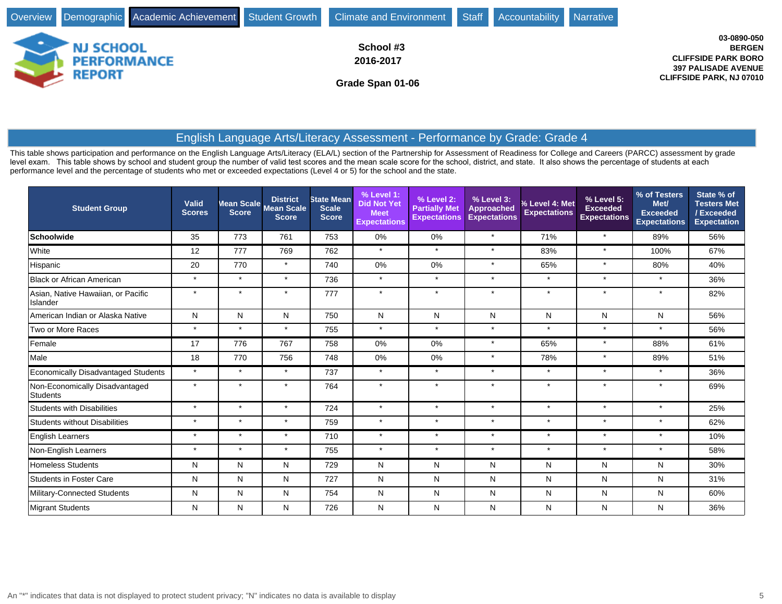

This table shows participation and performance on the English Language Arts/Literacy (ELA/L) section of the Partnership for Assessment of Readiness for College and Careers (PARCC) assessment by grade level exam. This table shows by school and student group the number of valid test scores and the mean scale score for the school, district, and state. It also shows the percentage of students at each performance level and the percentage of students who met or exceeded expectations (Level 4 or 5) for the school and the state.

| <b>Student Group</b>                              | <b>Valid</b><br><b>Scores</b> | Mean Scale<br><b>Score</b> | <b>District</b><br><b>Mean Scale</b><br><b>Score</b> | <b>State Mean</b><br><b>Scale</b><br><b>Score</b> | % Level 1:<br><b>Did Not Yet</b><br><b>Meet</b><br><b>Expectations</b> | % Level 2:<br><b>Partially Met</b><br><b>Expectations</b> | % Level 3:<br><b>Approached</b><br><b>Expectations</b> | % Level 4: Met<br><b>Expectations</b> | % Level 5:<br><b>Exceeded</b><br><b>Expectations</b> | % of Testers<br>Met/<br><b>Exceeded</b><br><b>Expectations</b> | State % of<br><b>Testers Met</b><br>/Exceeded<br><b>Expectation</b> |
|---------------------------------------------------|-------------------------------|----------------------------|------------------------------------------------------|---------------------------------------------------|------------------------------------------------------------------------|-----------------------------------------------------------|--------------------------------------------------------|---------------------------------------|------------------------------------------------------|----------------------------------------------------------------|---------------------------------------------------------------------|
| <b>Schoolwide</b>                                 | 35                            | 773                        | 761                                                  | 753                                               | 0%                                                                     | 0%                                                        | $\star$                                                | 71%                                   | $\star$                                              | 89%                                                            | 56%                                                                 |
| White                                             | 12                            | 777                        | 769                                                  | 762                                               | $\star$                                                                | $\star$                                                   | $\star$                                                | 83%                                   | $\star$                                              | 100%                                                           | 67%                                                                 |
| Hispanic                                          | 20                            | 770                        | $\star$                                              | 740                                               | 0%                                                                     | 0%                                                        | $\star$                                                | 65%                                   | $\star$                                              | 80%                                                            | 40%                                                                 |
| <b>Black or African American</b>                  | $\star$                       | $\star$                    | $\star$                                              | 736                                               | $\star$                                                                | $\star$                                                   | $\star$                                                | $\star$                               | $\star$                                              | $\star$                                                        | 36%                                                                 |
| Asian, Native Hawaiian, or Pacific<br>Islander    | $\star$                       | $\star$                    | $\star$                                              | 777                                               | $\star$                                                                | $\star$                                                   | $\star$                                                | $\star$                               | $\star$                                              |                                                                | 82%                                                                 |
| American Indian or Alaska Native                  | N                             | N                          | N                                                    | 750                                               | N                                                                      | N                                                         | N                                                      | N                                     | N                                                    | N                                                              | 56%                                                                 |
| Two or More Races                                 | $\star$                       | $\star$                    | $\star$                                              | 755                                               | $\star$                                                                | $\star$                                                   | $\star$                                                | $\star$                               | $\star$                                              | $\star$                                                        | 56%                                                                 |
| Female                                            | 17                            | 776                        | 767                                                  | 758                                               | 0%                                                                     | 0%                                                        | $\star$                                                | 65%                                   | $\star$                                              | 88%                                                            | 61%                                                                 |
| Male                                              | 18                            | 770                        | 756                                                  | 748                                               | 0%                                                                     | 0%                                                        | $\star$                                                | 78%                                   | $\star$                                              | 89%                                                            | 51%                                                                 |
| <b>Economically Disadvantaged Students</b>        | $\star$                       | $\star$                    | $\star$                                              | 737                                               | $\star$                                                                | $\star$                                                   | $\star$                                                | $\star$                               | $\star$                                              | $\star$                                                        | 36%                                                                 |
| Non-Economically Disadvantaged<br><b>Students</b> | $\star$                       | $\star$                    | $\star$                                              | 764                                               | $\star$                                                                | $\star$                                                   | $\star$                                                | $\star$                               | $\ddot{\phantom{1}}$                                 | $\overline{\phantom{a}}$                                       | 69%                                                                 |
| <b>Students with Disabilities</b>                 | $\star$                       | $\star$                    | $\star$                                              | 724                                               | $\star$                                                                | $\star$                                                   | $\star$                                                | $\star$                               | $\star$                                              | $\star$                                                        | 25%                                                                 |
| <b>Students without Disabilities</b>              | $\star$                       | $\star$                    | $\star$                                              | 759                                               | $\star$                                                                | $\star$                                                   | $\star$                                                | $\star$                               | $\star$                                              | $\star$                                                        | 62%                                                                 |
| <b>English Learners</b>                           | $\star$                       | $\star$                    | $\star$                                              | 710                                               | $\star$                                                                | $\star$                                                   | $\star$                                                | $\star$                               | $\star$                                              | $\star$                                                        | 10%                                                                 |
| Non-English Learners                              | $\star$                       | $\star$                    | $\star$                                              | 755                                               | $\star$                                                                | $\star$                                                   | $\star$                                                | $\star$                               | $\star$                                              | $\star$                                                        | 58%                                                                 |
| <b>Homeless Students</b>                          | N                             | N                          | N                                                    | 729                                               | N                                                                      | N                                                         | N                                                      | N                                     | N                                                    | N                                                              | 30%                                                                 |
| <b>Students in Foster Care</b>                    | N                             | N                          | N                                                    | 727                                               | N                                                                      | N                                                         | N                                                      | N                                     | N                                                    | N                                                              | 31%                                                                 |
| Military-Connected Students                       | N                             | N                          | N                                                    | 754                                               | N                                                                      | N                                                         | N                                                      | N                                     | N                                                    | N.                                                             | 60%                                                                 |
| <b>Migrant Students</b>                           | N                             | N                          | N                                                    | 726                                               | N                                                                      | N                                                         | N                                                      | ${\sf N}$                             | Ν                                                    | N                                                              | 36%                                                                 |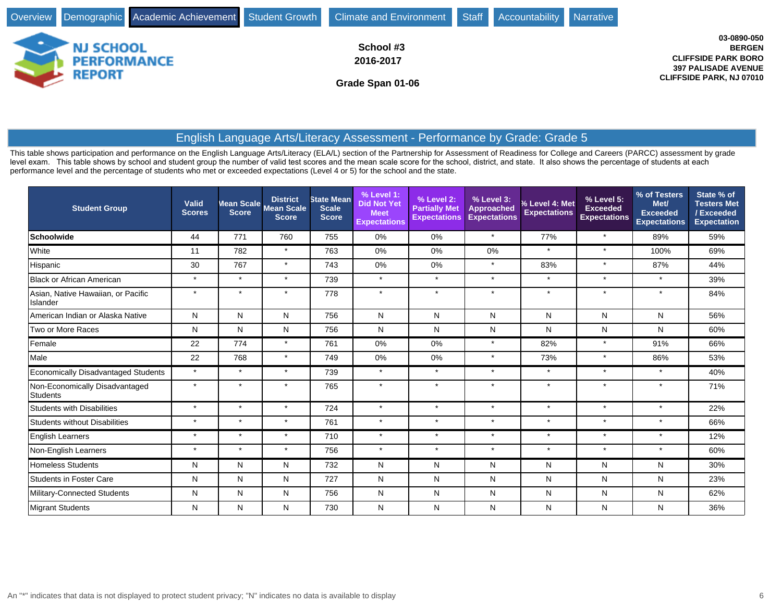

This table shows participation and performance on the English Language Arts/Literacy (ELA/L) section of the Partnership for Assessment of Readiness for College and Careers (PARCC) assessment by grade level exam. This table shows by school and student group the number of valid test scores and the mean scale score for the school, district, and state. It also shows the percentage of students at each performance level and the percentage of students who met or exceeded expectations (Level 4 or 5) for the school and the state.

| <b>Student Group</b>                           | Valid<br><b>Scores</b> | Mean Scale,<br><b>Score</b> | <b>District</b><br><b>Mean Scale</b><br><b>Score</b> | <b>State Mean</b><br><b>Scale</b><br><b>Score</b> | % Level 1:<br><b>Did Not Yet</b><br><b>Meet</b><br><b>Expectations</b> | % Level 2:<br><b>Partially Met</b><br><b>Expectations</b> | % Level 3:<br><b>Approached</b><br><b>Expectations</b> | % Level 4: Met<br><b>Expectations</b> | % Level 5:<br><b>Exceeded</b><br><b>Expectations</b> | % of Testers<br>Met/<br><b>Exceeded</b><br><b>Expectations</b> | State % of<br><b>Testers Met</b><br>/Exceeded<br><b>Expectation</b> |
|------------------------------------------------|------------------------|-----------------------------|------------------------------------------------------|---------------------------------------------------|------------------------------------------------------------------------|-----------------------------------------------------------|--------------------------------------------------------|---------------------------------------|------------------------------------------------------|----------------------------------------------------------------|---------------------------------------------------------------------|
| <b>Schoolwide</b>                              | 44                     | 771                         | 760                                                  | 755                                               | 0%                                                                     | 0%                                                        | $\star$                                                | 77%                                   | $\star$                                              | 89%                                                            | 59%                                                                 |
| White                                          | 11                     | 782                         | $\star$                                              | 763                                               | 0%                                                                     | 0%                                                        | 0%                                                     | $\star$                               | $\star$                                              | 100%                                                           | 69%                                                                 |
| Hispanic                                       | 30                     | 767                         | $\star$                                              | 743                                               | 0%                                                                     | 0%                                                        | $\star$                                                | 83%                                   | $\star$                                              | 87%                                                            | 44%                                                                 |
| <b>Black or African American</b>               | $\star$                | $\star$                     | $\star$                                              | 739                                               | $\star$                                                                | $\star$                                                   | $\star$                                                | $\star$                               | $\star$                                              | $\star$                                                        | 39%                                                                 |
| Asian, Native Hawaiian, or Pacific<br>Islander | $\star$                | $\star$                     | $\star$                                              | 778                                               | $\star$                                                                | $\star$                                                   | $\star$                                                | $\star$                               | $\star$                                              | $\star$                                                        | 84%                                                                 |
| American Indian or Alaska Native               | N                      | N                           | N                                                    | 756                                               | N                                                                      | N                                                         | N                                                      | N                                     | Ν                                                    | N                                                              | 56%                                                                 |
| Two or More Races                              | N                      | N                           | N                                                    | 756                                               | N                                                                      | N                                                         | ${\sf N}$                                              | N                                     | Ν                                                    | N                                                              | 60%                                                                 |
| Female                                         | 22                     | 774                         | $\star$                                              | 761                                               | 0%                                                                     | 0%                                                        | $\star$                                                | 82%                                   | $\star$                                              | 91%                                                            | 66%                                                                 |
| Male                                           | 22                     | 768                         | $\star$                                              | 749                                               | 0%                                                                     | 0%                                                        | $\star$                                                | 73%                                   | $\star$                                              | 86%                                                            | 53%                                                                 |
| <b>Economically Disadvantaged Students</b>     | $\star$                | $\star$                     | $\star$                                              | 739                                               | $\star$                                                                | $\star$                                                   | $\star$                                                | $\star$                               | $\star$                                              |                                                                | 40%                                                                 |
| Non-Economically Disadvantaged<br>Students     | $\star$                | $\star$                     | $\star$                                              | 765                                               | $\star$                                                                | $\star$                                                   | $\star$                                                | $\star$                               | $\star$                                              | $\star$                                                        | 71%                                                                 |
| <b>Students with Disabilities</b>              | $\star$                | $\star$                     | $\star$                                              | 724                                               | $\star$                                                                | $\star$                                                   | $\star$                                                | $\star$                               | $\star$                                              | $\star$                                                        | 22%                                                                 |
| <b>Students without Disabilities</b>           | $\star$                | $\star$                     | $\star$                                              | 761                                               | $\star$                                                                | $\star$                                                   | $\star$                                                | $\star$                               | $\star$                                              | $\star$                                                        | 66%                                                                 |
| <b>English Learners</b>                        | $\star$                | $\star$                     | $\star$                                              | 710                                               | $\star$                                                                | $\star$                                                   | $\star$                                                | $\star$                               | $\star$                                              | $\star$                                                        | 12%                                                                 |
| Non-English Learners                           | $\star$                | $\star$                     | $\star$                                              | 756                                               | $\star$                                                                | $\star$                                                   | $\star$                                                | $\star$                               | $\star$                                              | $\star$                                                        | 60%                                                                 |
| <b>Homeless Students</b>                       | N                      | N                           | N                                                    | 732                                               | N                                                                      | N                                                         | N                                                      | N                                     | N                                                    | N                                                              | 30%                                                                 |
| <b>Students in Foster Care</b>                 | N                      | N                           | N                                                    | 727                                               | N                                                                      | N                                                         | N                                                      | N                                     | N                                                    | N                                                              | 23%                                                                 |
| Military-Connected Students                    | N                      | N                           | N                                                    | 756                                               | N                                                                      | N                                                         | N                                                      | N                                     | N                                                    | N                                                              | 62%                                                                 |
| <b>Migrant Students</b>                        | N                      | N                           | N                                                    | 730                                               | N                                                                      | N                                                         | N                                                      | $\mathsf{N}$                          | N                                                    | N                                                              | 36%                                                                 |

**BERGEN**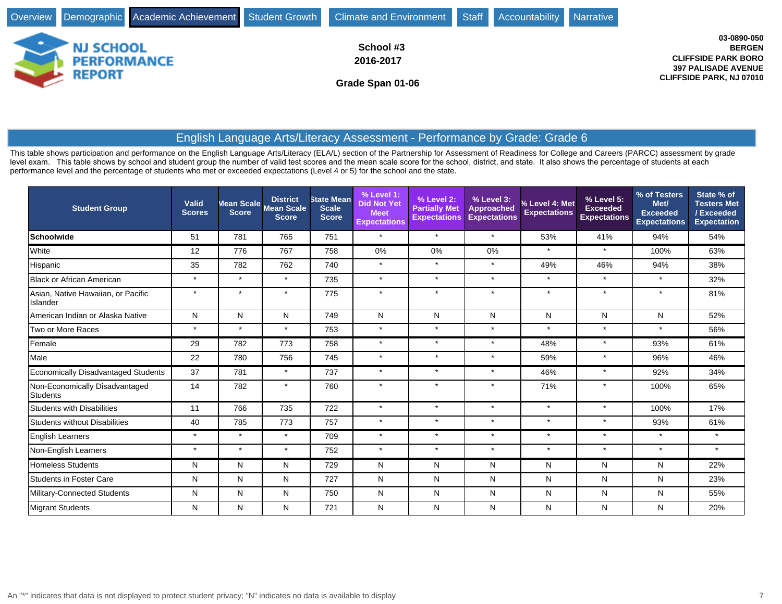

This table shows participation and performance on the English Language Arts/Literacy (ELA/L) section of the Partnership for Assessment of Readiness for College and Careers (PARCC) assessment by grade level exam. This table shows by school and student group the number of valid test scores and the mean scale score for the school, district, and state. It also shows the percentage of students at each performance level and the percentage of students who met or exceeded expectations (Level 4 or 5) for the school and the state.

| <b>Student Group</b>                           | Valid<br><b>Scores</b> | Mean Scale<br><b>Score</b> | <b>District</b><br><b>Mean Scale</b><br><b>Score</b> | <b>State Mean</b><br><b>Scale</b><br><b>Score</b> | % Level 1:<br><b>Did Not Yet</b><br><b>Meet</b><br><b>Expectations</b> | % Level 2:<br><b>Partially Met</b><br><b>Expectations</b> | % Level 3:<br><b>Approached</b><br><b>Expectations</b> | % Level 4: Met<br><b>Expectations</b> | % Level 5:<br><b>Exceeded</b><br><b>Expectations</b> | % of Testers<br>Met/<br><b>Exceeded</b><br><b>Expectations</b> | State % of<br><b>Testers Met</b><br>/Exceeded<br><b>Expectation</b> |
|------------------------------------------------|------------------------|----------------------------|------------------------------------------------------|---------------------------------------------------|------------------------------------------------------------------------|-----------------------------------------------------------|--------------------------------------------------------|---------------------------------------|------------------------------------------------------|----------------------------------------------------------------|---------------------------------------------------------------------|
| <b>Schoolwide</b>                              | 51                     | 781                        | 765                                                  | 751                                               | $\star$                                                                | $\star$                                                   | $\star$                                                | 53%                                   | 41%                                                  | 94%                                                            | 54%                                                                 |
| White                                          | 12                     | 776                        | 767                                                  | 758                                               | 0%                                                                     | 0%                                                        | 0%                                                     | $\star$                               | $\star$                                              | 100%                                                           | 63%                                                                 |
| Hispanic                                       | 35                     | 782                        | 762                                                  | 740                                               | $\star$                                                                | $\star$                                                   | $\star$                                                | 49%                                   | 46%                                                  | 94%                                                            | 38%                                                                 |
| <b>Black or African American</b>               | $\star$                | $\star$                    | $\star$                                              | 735                                               | $\star$                                                                | $\star$                                                   | $\star$                                                | $\star$                               | $\star$                                              | $\star$                                                        | 32%                                                                 |
| Asian, Native Hawaiian, or Pacific<br>Islander | $\star$                | $\star$                    | $\star$                                              | 775                                               | $\star$                                                                | $\star$                                                   | $\star$                                                | $\star$                               | $\star$                                              |                                                                | 81%                                                                 |
| American Indian or Alaska Native               | N                      | N                          | N                                                    | 749                                               | N                                                                      | N                                                         | N                                                      | N                                     | N                                                    | N                                                              | 52%                                                                 |
| Two or More Races                              | $\star$                | $\star$                    | $\star$                                              | 753                                               | $\star$                                                                | $\star$                                                   | $\star$                                                | $\star$                               | $\star$                                              | $\star$                                                        | 56%                                                                 |
| Female                                         | 29                     | 782                        | 773                                                  | 758                                               | $\star$                                                                | $\star$                                                   | $\star$                                                | 48%                                   | $\star$                                              | 93%                                                            | 61%                                                                 |
| Male                                           | 22                     | 780                        | 756                                                  | 745                                               | $\star$                                                                | $\star$                                                   | $\star$                                                | 59%                                   | $\star$                                              | 96%                                                            | 46%                                                                 |
| Economically Disadvantaged Students            | 37                     | 781                        | $\star$                                              | 737                                               | $\star$                                                                | $\star$                                                   | $\star$                                                | 46%                                   | $\star$                                              | 92%                                                            | 34%                                                                 |
| Non-Economically Disadvantaged<br>Students     | 14                     | 782                        | $\star$                                              | 760                                               | $\star$                                                                | $\star$                                                   | $\star$                                                | 71%                                   |                                                      | 100%                                                           | 65%                                                                 |
| <b>Students with Disabilities</b>              | 11                     | 766                        | 735                                                  | 722                                               | $\star$                                                                | $\star$                                                   | $\star$                                                | $\star$                               | $\star$                                              | 100%                                                           | 17%                                                                 |
| <b>Students without Disabilities</b>           | 40                     | 785                        | 773                                                  | 757                                               | $\star$                                                                | $\star$                                                   | $\star$                                                | $\star$                               | $\star$                                              | 93%                                                            | 61%                                                                 |
| English Learners                               | $\star$                | $\star$                    | $\star$                                              | 709                                               | $\star$                                                                | $\star$                                                   | $\star$                                                | $\star$                               | $\star$                                              | $\star$                                                        | $\star$                                                             |
| Non-English Learners                           | $\star$                | $\star$                    | $\star$                                              | 752                                               | $\star$                                                                | $\star$                                                   | $\star$                                                | $\star$                               | $\star$                                              | $\star$                                                        | $\star$                                                             |
| <b>Homeless Students</b>                       | N                      | N                          | N                                                    | 729                                               | N                                                                      | N                                                         | N                                                      | N                                     | N                                                    | N                                                              | 22%                                                                 |
| <b>Students in Foster Care</b>                 | N                      | N                          | N                                                    | 727                                               | N                                                                      | N                                                         | N                                                      | N                                     | N                                                    | N                                                              | 23%                                                                 |
| Military-Connected Students                    | N                      | N                          | N                                                    | 750                                               | N                                                                      | N                                                         | ${\sf N}$                                              | N                                     | Ν                                                    | N                                                              | 55%                                                                 |
| Migrant Students                               | N                      | N                          | N                                                    | 721                                               | N                                                                      | N                                                         | N                                                      | $\mathsf{N}$                          | Ν                                                    | N                                                              | 20%                                                                 |

**BERGEN**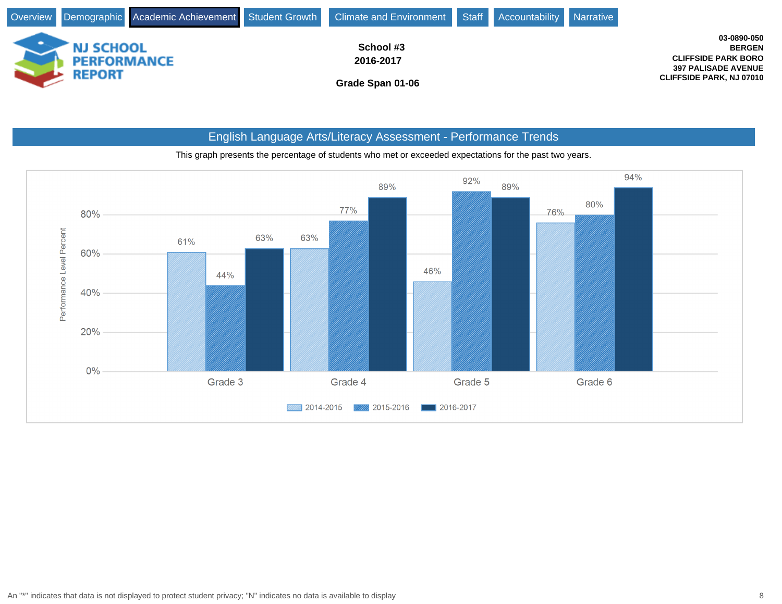

# English Language Arts/Literacy Assessment - Performance Trends



This graph presents the percentage of students who met or exceeded expectations for the past two years.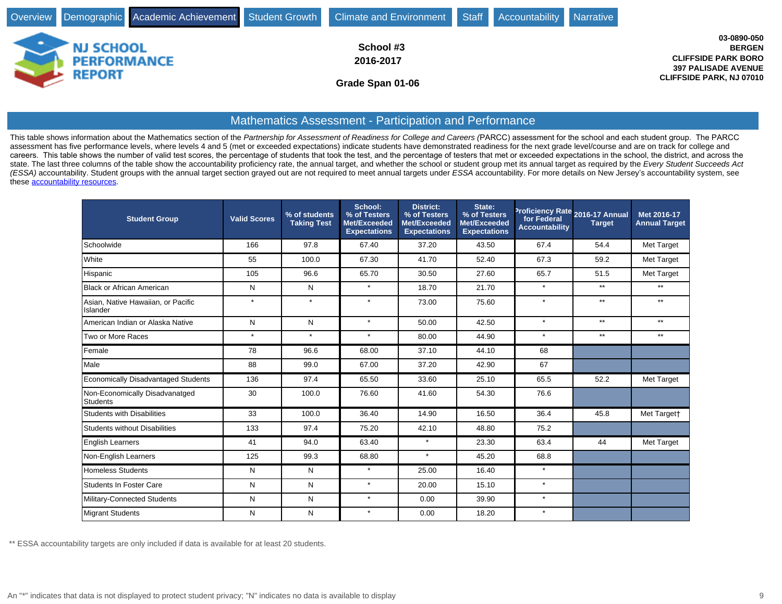|                                        |  | Overview Demographic Academic Achievement Student Growth Climate and Environment Staff Accountability Narrative |  |                                                                                          |
|----------------------------------------|--|-----------------------------------------------------------------------------------------------------------------|--|------------------------------------------------------------------------------------------|
| <b>NJ SCHOOL</b><br><b>PERFORMANCE</b> |  | School #3<br>2016-2017                                                                                          |  | 03-0890-050<br><b>BERGEN</b><br><b>CLIFFSIDE PARK BORO</b><br><b>397 PALISADE AVENUE</b> |
| REPORT                                 |  | Grade Span 01-06                                                                                                |  | <b>CLIFFSIDE PARK, NJ 07010</b>                                                          |

### Mathematics Assessment - Participation and Performance

This table shows information about the Mathematics section of the Partnership for Assessment of Readiness for College and Careers (PARCC) assessment for the school and each student group. The PARCC assessment has five performance levels, where levels 4 and 5 (met or exceeded expectations) indicate students have demonstrated readiness for the next grade level/course and are on track for college and Experience in the ponditional of visits of the correst of the control of the control of the control of the controlled when the set and the percentage of testers that met or exceeded expectations in the school, the district state. The last three columns of the table show the accountability proficiency rate, the annual target, and whether the school or student group met its annual target as required by the Every Student Succeeds Act (ESSA) accountability. Student groups with the annual target section grayed out are not required to meet annual targets under ESSA accountability. For more details on New Jersey's accountability system, see these [accountability resources.](http://www.state.nj.us/education/title1/accountability/progress/17/)

| <b>Student Group</b>                              | <b>Valid Scores</b> | % of students<br><b>Taking Test</b> | School:<br>% of Testers<br>Met/Exceeded<br><b>Expectations</b> | <b>District:</b><br>% of Testers<br>Met/Exceeded<br><b>Expectations</b> | State:<br>% of Testers<br>Met/Exceeded<br><b>Expectations</b> | Proficiency Rate 2016-17 Annual<br>for Federal<br><b>Accountability</b> | <b>Target</b> | Met 2016-17<br><b>Annual Target</b> |
|---------------------------------------------------|---------------------|-------------------------------------|----------------------------------------------------------------|-------------------------------------------------------------------------|---------------------------------------------------------------|-------------------------------------------------------------------------|---------------|-------------------------------------|
| Schoolwide                                        | 166                 | 97.8                                | 67.40                                                          | 37.20                                                                   | 43.50                                                         | 67.4                                                                    | 54.4          | Met Target                          |
| White                                             | 55                  | 100.0                               | 67.30                                                          | 41.70                                                                   | 52.40                                                         | 67.3                                                                    | 59.2          | Met Target                          |
| Hispanic                                          | 105                 | 96.6                                | 65.70                                                          | 30.50                                                                   | 27.60                                                         | 65.7                                                                    | 51.5          | Met Target                          |
| Black or African American                         | N                   | N                                   | $\star$                                                        | 18.70                                                                   | 21.70                                                         | $\star$                                                                 | $**$          | $***$                               |
| Asian, Native Hawaiian, or Pacific<br>Islander    | $\star$             | $\star$                             | $\star$                                                        | 73.00                                                                   | 75.60                                                         | $\star$                                                                 | $**$          | $**$                                |
| American Indian or Alaska Native                  | N                   | N                                   | $\star$                                                        | 50.00                                                                   | 42.50                                                         | $\star$                                                                 | $**$          | $^{\star\star}$                     |
| Two or More Races                                 | $\star$             | $\star$                             | $\star$                                                        | 80.00                                                                   | 44.90                                                         | $\star$                                                                 | $***$         | $**$                                |
| Female                                            | 78                  | 96.6                                | 68.00                                                          | 37.10                                                                   | 44.10                                                         | 68                                                                      |               |                                     |
| Male                                              | 88                  | 99.0                                | 67.00                                                          | 37.20                                                                   | 42.90                                                         | 67                                                                      |               |                                     |
| <b>Economically Disadvantaged Students</b>        | 136                 | 97.4                                | 65.50                                                          | 33.60                                                                   | 25.10                                                         | 65.5                                                                    | 52.2          | Met Target                          |
| Non-Economically Disadvanatged<br><b>Students</b> | 30                  | 100.0                               | 76.60                                                          | 41.60                                                                   | 54.30                                                         | 76.6                                                                    |               |                                     |
| <b>Students with Disabilities</b>                 | 33                  | 100.0                               | 36.40                                                          | 14.90                                                                   | 16.50                                                         | 36.4                                                                    | 45.8          | Met Target†                         |
| <b>Students without Disabilities</b>              | 133                 | 97.4                                | 75.20                                                          | 42.10                                                                   | 48.80                                                         | 75.2                                                                    |               |                                     |
| <b>English Learners</b>                           | 41                  | 94.0                                | 63.40                                                          | $\star$                                                                 | 23.30                                                         | 63.4                                                                    | 44            | Met Target                          |
| Non-English Learners                              | 125                 | 99.3                                | 68.80                                                          | $\star$                                                                 | 45.20                                                         | 68.8                                                                    |               |                                     |
| <b>Homeless Students</b>                          | N                   | N                                   | $\star$                                                        | 25.00                                                                   | 16.40                                                         | $\star$                                                                 |               |                                     |
| <b>Students In Foster Care</b>                    | N                   | N                                   | $\star$                                                        | 20.00                                                                   | 15.10                                                         | $\star$                                                                 |               |                                     |
| Military-Connected Students                       | N                   | N                                   | $\star$                                                        | 0.00                                                                    | 39.90                                                         | $\star$                                                                 |               |                                     |
| <b>Migrant Students</b>                           | N                   | N                                   | $\star$                                                        | 0.00                                                                    | 18.20                                                         | $\star$                                                                 |               |                                     |

\*\* ESSA accountability targets are only included if data is available for at least 20 students.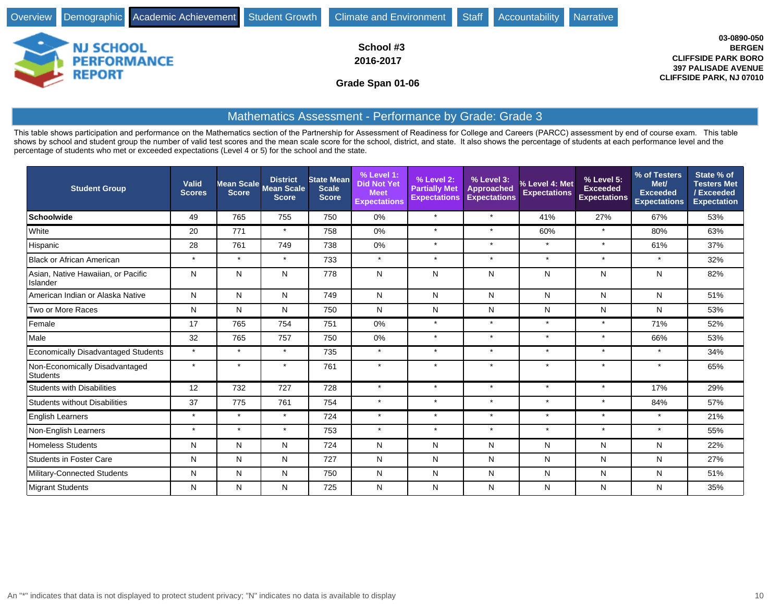| Overview Demographic Academic Achievement Student Growth Climate and Environment Staff |                                            | Accountability | Narrative |                                                                                                                             |
|----------------------------------------------------------------------------------------|--------------------------------------------|----------------|-----------|-----------------------------------------------------------------------------------------------------------------------------|
| <b>NJ SCHOOL</b><br><b>PERFORMANCE</b><br><b>REPORT</b>                                | School #3<br>2016-2017<br>Grade Span 01-06 |                |           | 03-0890-050<br><b>BERGEN</b><br><b>CLIFFSIDE PARK BORO</b><br><b>397 PALISADE AVENUE</b><br><b>CLIFFSIDE PARK, NJ 07010</b> |

### Mathematics Assessment - Performance by Grade: Grade 3

This table shows participation and performance on the Mathematics section of the Partnership for Assessment of Readiness for College and Careers (PARCC) assessment by end of course exam. This table shows by school and student group the number of valid test scores and the mean scale score for the school, district, and state. It also shows the percentage of students at each performance level and the percentage of students who met or exceeded expectations (Level 4 or 5) for the school and the state.

| <b>Student Group</b>                           | Valid<br><b>Scores</b> | Mean Scale<br><b>Score</b> | <b>District</b><br><b>Mean Scale</b><br><b>Score</b> | <b>State Mean</b><br><b>Scale</b><br><b>Score</b> | % Level 1:<br><b>Did Not Yet</b><br><b>Meet</b><br><b>Expectations</b> | % Level 2:<br><b>Partially Met</b><br><b>Expectations</b> | % Level 3:<br><b>Approached</b><br><b>Expectations</b> | % Level 4: Met<br><b>Expectations</b> | % Level 5:<br><b>Exceeded</b><br><b>Expectations</b> | % of Testers<br>Met/<br><b>Exceeded</b><br><b>Expectations</b> | State % of<br><b>Testers Met</b><br>/Exceeded<br><b>Expectation</b> |
|------------------------------------------------|------------------------|----------------------------|------------------------------------------------------|---------------------------------------------------|------------------------------------------------------------------------|-----------------------------------------------------------|--------------------------------------------------------|---------------------------------------|------------------------------------------------------|----------------------------------------------------------------|---------------------------------------------------------------------|
| Schoolwide                                     | 49                     | 765                        | 755                                                  | 750                                               | 0%                                                                     | $\star$                                                   | $\star$                                                | 41%                                   | 27%                                                  | 67%                                                            | 53%                                                                 |
| White                                          | 20                     | 771                        | $\star$                                              | 758                                               | 0%                                                                     | $\star$                                                   | $\star$                                                | 60%                                   | $\star$                                              | 80%                                                            | 63%                                                                 |
| Hispanic                                       | 28                     | 761                        | 749                                                  | 738                                               | 0%                                                                     | $\star$                                                   | $\star$                                                | $\star$                               | $\star$                                              | 61%                                                            | 37%                                                                 |
| Black or African American                      | $\star$                | $\star$                    | $\star$                                              | 733                                               | $\star$                                                                | $\star$                                                   | $\star$                                                | $\star$                               | $\star$                                              | $\star$                                                        | 32%                                                                 |
| Asian, Native Hawaiian, or Pacific<br>Islander | N                      | N                          | N                                                    | 778                                               | N                                                                      | N                                                         | $\mathsf{N}$                                           | N                                     | N                                                    | N                                                              | 82%                                                                 |
| American Indian or Alaska Native               | N                      | N                          | N                                                    | 749                                               | N                                                                      | N                                                         | $\mathsf{N}$                                           | N                                     | N                                                    | N                                                              | 51%                                                                 |
| Two or More Races                              | N                      | N                          | N                                                    | 750                                               | N                                                                      | N                                                         | N                                                      | N                                     | N                                                    | N                                                              | 53%                                                                 |
| Female                                         | 17                     | 765                        | 754                                                  | 751                                               | 0%                                                                     | $\star$                                                   | $\star$                                                | $\star$                               | $\star$                                              | 71%                                                            | 52%                                                                 |
| Male                                           | 32                     | 765                        | 757                                                  | 750                                               | 0%                                                                     | $\star$                                                   | $\star$                                                | $\star$                               | $\star$                                              | 66%                                                            | 53%                                                                 |
| Economically Disadvantaged Students            | $\star$                | $\star$                    | $\star$                                              | 735                                               | $\star$                                                                | $\star$                                                   | $\star$                                                | $\star$                               | $\star$                                              | $\star$                                                        | 34%                                                                 |
| Non-Economically Disadvantaged<br>Students     | $\star$                | $\star$                    | $\star$                                              | 761                                               | $\star$                                                                | $\star$                                                   | $\star$                                                | $\star$                               |                                                      | $\star$                                                        | 65%                                                                 |
| Students with Disabilities                     | 12                     | 732                        | 727                                                  | 728                                               | $\star$                                                                | $\star$                                                   | $\star$                                                | $\star$                               | $\star$                                              | 17%                                                            | 29%                                                                 |
| Students without Disabilities                  | 37                     | 775                        | 761                                                  | 754                                               | $\star$                                                                | $\star$                                                   | $\star$                                                | $\star$                               | $\star$                                              | 84%                                                            | 57%                                                                 |
| <b>English Learners</b>                        | $\star$                | $\star$                    | $\star$                                              | 724                                               | $\star$                                                                | $\star$                                                   | $\star$                                                | $\star$                               | $\star$                                              | $\star$                                                        | 21%                                                                 |
| Non-English Learners                           | $\star$                | $\star$                    | $\star$                                              | 753                                               | $\star$                                                                | $\star$                                                   | $\star$                                                | $\star$                               | $\star$                                              | $\star$                                                        | 55%                                                                 |
| <b>Homeless Students</b>                       | N                      | N                          | N                                                    | 724                                               | N                                                                      | N                                                         | N                                                      | N                                     | N                                                    | N                                                              | 22%                                                                 |
| <b>Students in Foster Care</b>                 | N                      | N                          | N                                                    | 727                                               | N                                                                      | N                                                         | N                                                      | N                                     | N                                                    | N                                                              | 27%                                                                 |
| Military-Connected Students                    | N                      | N                          | N                                                    | 750                                               | N                                                                      | N                                                         | N                                                      | N                                     | N                                                    | N                                                              | 51%                                                                 |
| Migrant Students                               | N                      | N                          | N                                                    | 725                                               | N                                                                      | N                                                         | N                                                      | N                                     | N                                                    | N                                                              | 35%                                                                 |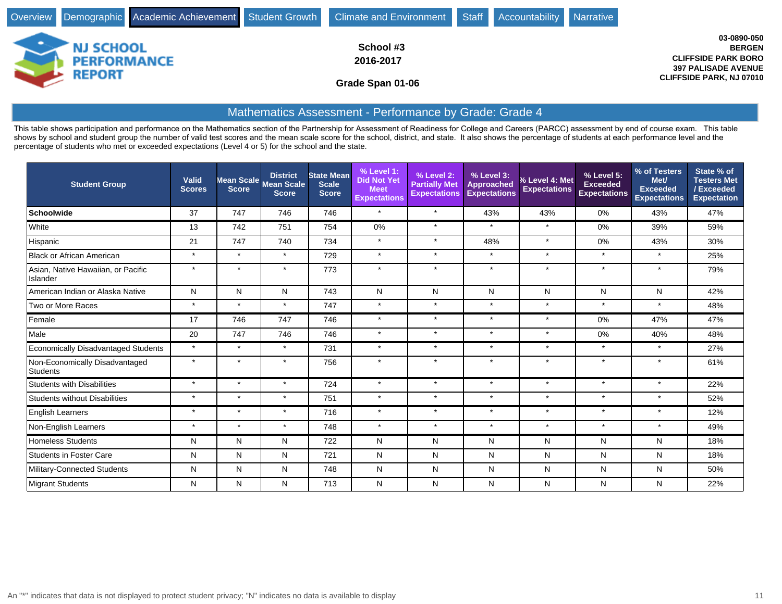| Overview Demographic Academic Achievement Student Growth Climate and Environment |                                            | Staff | Accountability Narrative |                                                                                                                             |
|----------------------------------------------------------------------------------|--------------------------------------------|-------|--------------------------|-----------------------------------------------------------------------------------------------------------------------------|
| <b>NJ SCHOOL</b><br><b>PERFORMANCE</b><br><b>REPORT</b>                          | School #3<br>2016-2017<br>Grade Span 01-06 |       |                          | 03-0890-050<br><b>BERGEN</b><br><b>CLIFFSIDE PARK BORO</b><br><b>397 PALISADE AVENUE</b><br><b>CLIFFSIDE PARK, NJ 07010</b> |

### Mathematics Assessment - Performance by Grade: Grade 4

This table shows participation and performance on the Mathematics section of the Partnership for Assessment of Readiness for College and Careers (PARCC) assessment by end of course exam. This table shows by school and student group the number of valid test scores and the mean scale score for the school, district, and state. It also shows the percentage of students at each performance level and the percentage of students who met or exceeded expectations (Level 4 or 5) for the school and the state.

| <b>Student Group</b>                           | Valid<br><b>Scores</b> | <b>Score</b> | <b>District</b><br>Mean Scale Mean Scale<br><b>Score</b> | <b>State Mean</b><br><b>Scale</b><br><b>Score</b> | % Level 1:<br><b>Did Not Yet</b><br><b>Meet</b><br><b>Expectations</b> | % Level 2:<br><b>Partially Met</b><br><b>Expectations</b> | % Level 3:<br><b>Approached</b><br><b>Expectations</b> | % Level 4: Met<br><b>Expectations</b> | % Level 5:<br><b>Exceeded</b><br><b>Expectations</b> | % of Testers<br>Met/<br><b>Exceeded</b><br><b>Expectations</b> | State % of<br><b>Testers Met</b><br>/Exceeded<br><b>Expectation</b> |
|------------------------------------------------|------------------------|--------------|----------------------------------------------------------|---------------------------------------------------|------------------------------------------------------------------------|-----------------------------------------------------------|--------------------------------------------------------|---------------------------------------|------------------------------------------------------|----------------------------------------------------------------|---------------------------------------------------------------------|
| <b>Schoolwide</b>                              | 37                     | 747          | 746                                                      | 746                                               | $\star$                                                                | $\star$                                                   | 43%                                                    | 43%                                   | 0%                                                   | 43%                                                            | 47%                                                                 |
| White                                          | 13                     | 742          | 751                                                      | 754                                               | 0%                                                                     | $\star$                                                   | $\star$                                                | $\star$                               | $0\%$                                                | 39%                                                            | 59%                                                                 |
| Hispanic                                       | 21                     | 747          | 740                                                      | 734                                               | $\star$                                                                | $\star$                                                   | 48%                                                    | $\star$                               | 0%                                                   | 43%                                                            | 30%                                                                 |
| <b>Black or African American</b>               | $\star$                | $\star$      | $\star$                                                  | 729                                               | $\star$                                                                | $\star$                                                   | $\star$                                                | $\star$                               | $\star$                                              | $\star$                                                        | 25%                                                                 |
| Asian, Native Hawaiian, or Pacific<br>Islander | $\star$                | $\star$      | $\star$                                                  | 773                                               | $\star$                                                                | $\star$                                                   | $\star$                                                | $\star$                               | $\star$                                              | $\star$                                                        | 79%                                                                 |
| American Indian or Alaska Native               | N                      | N            | N                                                        | 743                                               | N                                                                      | N                                                         | N                                                      | Ν                                     | N                                                    | N                                                              | 42%                                                                 |
| Two or More Races                              | $\star$                | $\star$      | $\star$                                                  | 747                                               | $\star$                                                                | $\star$                                                   | $\star$                                                | $\star$                               | $\star$                                              | $\star$                                                        | 48%                                                                 |
| Female                                         | 17                     | 746          | 747                                                      | 746                                               | $\star$                                                                | $\star$                                                   | $\star$                                                | $\star$                               | 0%                                                   | 47%                                                            | 47%                                                                 |
| Male                                           | 20                     | 747          | 746                                                      | 746                                               | $\star$                                                                | $\star$                                                   | $\star$                                                | $\star$                               | 0%                                                   | 40%                                                            | 48%                                                                 |
| <b>Economically Disadvantaged Students</b>     | $\star$                | $\star$      | $\star$                                                  | 731                                               | $\star$                                                                | $\star$                                                   | $\star$                                                | $\star$                               | $\star$                                              | $\star$                                                        | 27%                                                                 |
| Non-Economically Disadvantaged<br>Students     | $\star$                | $\star$      | $\star$                                                  | 756                                               | $\star$                                                                | $\star$                                                   | $\star$                                                | $\star$                               | $\ddot{\phantom{1}}$                                 | $\star$                                                        | 61%                                                                 |
| <b>Students with Disabilities</b>              | $\star$                | $\star$      | $\star$                                                  | 724                                               | $\star$                                                                | $\star$                                                   | $\star$                                                | $\star$                               | $\star$                                              | $\star$                                                        | 22%                                                                 |
| <b>Students without Disabilities</b>           | $\star$                | $\star$      | $\star$                                                  | 751                                               | $\star$                                                                | $\star$                                                   | $\star$                                                | $\star$                               | $\star$                                              | $\star$                                                        | 52%                                                                 |
| <b>English Learners</b>                        | $\star$                | $\star$      | $\star$                                                  | 716                                               | $\star$                                                                | $\star$                                                   | $\star$                                                | $\star$                               | $\star$                                              | $\star$                                                        | 12%                                                                 |
| Non-English Learners                           | $\star$                | $\star$      | $\star$                                                  | 748                                               | $\star$                                                                | $\star$                                                   | $\star$                                                | $\star$                               | $\star$                                              | $\star$                                                        | 49%                                                                 |
| <b>Homeless Students</b>                       | N                      | N            | N                                                        | 722                                               | N                                                                      | N                                                         | N                                                      | N                                     | N                                                    | N                                                              | 18%                                                                 |
| <b>Students in Foster Care</b>                 | N                      | N            | N                                                        | 721                                               | N                                                                      | N                                                         | $\mathsf{N}$                                           | N                                     | N                                                    | N                                                              | 18%                                                                 |
| Military-Connected Students                    | N                      | N            | N                                                        | 748                                               | N                                                                      | N                                                         | $\mathsf{N}$                                           | N                                     | N                                                    | N                                                              | 50%                                                                 |
| Migrant Students                               | N                      | N            | N                                                        | 713                                               | N                                                                      | N                                                         | N                                                      | N                                     | N                                                    | N                                                              | 22%                                                                 |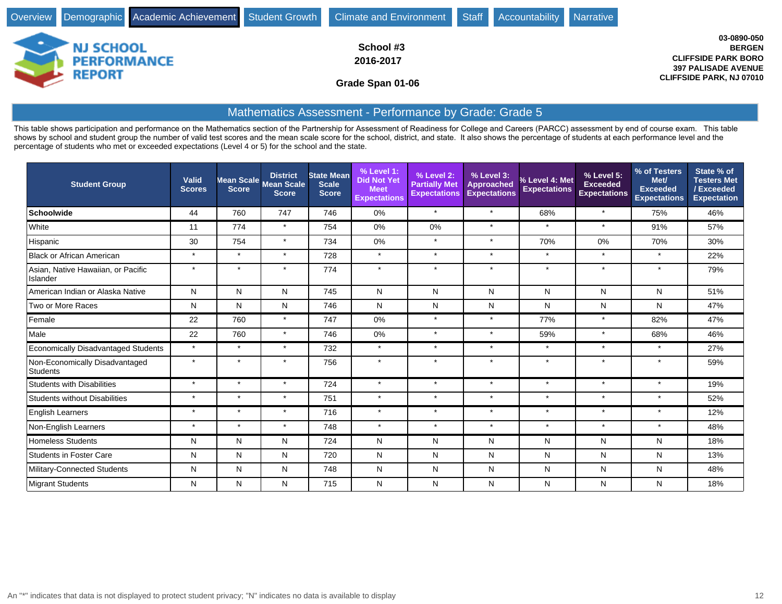| Overview Demographic Academic Achievement Student Growth | Climate and Environment                    | Staff | Accountability Narrative |                                                                                                                             |
|----------------------------------------------------------|--------------------------------------------|-------|--------------------------|-----------------------------------------------------------------------------------------------------------------------------|
| <b>NJ SCHOOL</b><br><b>PERFORMANCE</b><br>REPORT         | School #3<br>2016-2017<br>Grade Span 01-06 |       |                          | 03-0890-050<br><b>BERGEN</b><br><b>CLIFFSIDE PARK BORO</b><br><b>397 PALISADE AVENUE</b><br><b>CLIFFSIDE PARK, NJ 07010</b> |

## Mathematics Assessment - Performance by Grade: Grade 5

This table shows participation and performance on the Mathematics section of the Partnership for Assessment of Readiness for College and Careers (PARCC) assessment by end of course exam. This table shows by school and student group the number of valid test scores and the mean scale score for the school, district, and state. It also shows the percentage of students at each performance level and the percentage of students who met or exceeded expectations (Level 4 or 5) for the school and the state.

| <b>Student Group</b>                           | Valid<br><b>Scores</b> | Mean Scale<br><b>Score</b> | <b>District</b><br><b>Mean Scale</b><br><b>Score</b> | <b>State Mean</b><br><b>Scale</b><br><b>Score</b> | % Level 1:<br><b>Did Not Yet</b><br><b>Meet</b><br><b>Expectations</b> | % Level 2:<br><b>Partially Met</b><br><b>Expectations</b> | % Level 3:<br><b>Approached</b><br><b>Expectations</b> | % Level 4: Met<br><b>Expectations</b> | % Level 5:<br><b>Exceeded</b><br><b>Expectations</b> | % of Testers<br>Met/<br><b>Exceeded</b><br><b>Expectations</b> | State % of<br><b>Testers Met</b><br>/Exceeded<br><b>Expectation</b> |
|------------------------------------------------|------------------------|----------------------------|------------------------------------------------------|---------------------------------------------------|------------------------------------------------------------------------|-----------------------------------------------------------|--------------------------------------------------------|---------------------------------------|------------------------------------------------------|----------------------------------------------------------------|---------------------------------------------------------------------|
| Schoolwide                                     | 44                     | 760                        | 747                                                  | 746                                               | 0%                                                                     | $\star$                                                   | $\star$                                                | 68%                                   | $\star$                                              | 75%                                                            | 46%                                                                 |
| White                                          | 11                     | 774                        | $\star$                                              | 754                                               | 0%                                                                     | 0%                                                        | $\star$                                                | $\star$                               | $\star$                                              | 91%                                                            | 57%                                                                 |
| Hispanic                                       | 30                     | 754                        | $\star$                                              | 734                                               | 0%                                                                     | $\star$                                                   | $\star$                                                | 70%                                   | 0%                                                   | 70%                                                            | 30%                                                                 |
| Black or African American                      | $\star$                | $\star$                    | $\star$                                              | 728                                               | $\star$                                                                | $\star$                                                   | $\star$                                                | $\star$                               | $\star$                                              | $\star$                                                        | 22%                                                                 |
| Asian, Native Hawaiian, or Pacific<br>Islander | $\star$                | $\star$                    | $\star$                                              | 774                                               | $\star$                                                                | $\star$                                                   | $\star$                                                | $\star$                               | $\star$                                              | $\star$                                                        | 79%                                                                 |
| American Indian or Alaska Native               | $\mathsf{N}$           | N                          | $\mathsf{N}$                                         | 745                                               | N                                                                      | N                                                         | $\mathsf{N}$                                           | N                                     | N                                                    | N                                                              | 51%                                                                 |
| Two or More Races                              | N                      | N                          | N                                                    | 746                                               | N                                                                      | N                                                         | N                                                      | N                                     | N                                                    | N                                                              | 47%                                                                 |
| Female                                         | 22                     | 760                        | $\star$                                              | 747                                               | 0%                                                                     | $\star$                                                   | $\star$                                                | 77%                                   | $\star$                                              | 82%                                                            | 47%                                                                 |
| Male                                           | 22                     | 760                        | $\star$                                              | 746                                               | $0\%$                                                                  | $\star$                                                   | $\star$                                                | 59%                                   | $\star$                                              | 68%                                                            | 46%                                                                 |
| Economically Disadvantaged Students            | $\star$                | $\star$                    | $\star$                                              | 732                                               | $\star$                                                                | $\star$                                                   | $\star$                                                | $\star$                               | $\star$                                              | $\star$                                                        | 27%                                                                 |
| Non-Economically Disadvantaged<br>Students     | $\star$                | $\star$                    | $\star$                                              | 756                                               | $\star$                                                                | $\star$                                                   | $\star$                                                | $\star$                               | $\star$                                              | $\star$                                                        | 59%                                                                 |
| Students with Disabilities                     | $\star$                | $\star$                    | $\star$                                              | 724                                               | $\star$                                                                | $\star$                                                   | $\star$                                                | $\star$                               | $\star$                                              | $\star$                                                        | 19%                                                                 |
| <b>Students without Disabilities</b>           | $\star$                | $\star$                    | $\star$                                              | 751                                               | $\star$                                                                | $\star$                                                   | $\star$                                                | $\star$                               | $\star$                                              | $\star$                                                        | 52%                                                                 |
| <b>English Learners</b>                        | $\star$                | $\star$                    | $\star$                                              | 716                                               | $\star$                                                                | $\star$                                                   | $\star$                                                | $\star$                               | $\star$                                              | $\star$                                                        | 12%                                                                 |
| Non-English Learners                           | $\star$                | $\star$                    | $\star$                                              | 748                                               | $\star$                                                                | $\star$                                                   | $\star$                                                | $\star$                               | $\star$                                              | $\star$                                                        | 48%                                                                 |
| <b>Homeless Students</b>                       | N                      | N                          | N                                                    | 724                                               | N                                                                      | N                                                         | $\mathsf{N}$                                           | N                                     | N                                                    | N                                                              | 18%                                                                 |
| <b>Students in Foster Care</b>                 | N                      | N                          | N                                                    | 720                                               | N                                                                      | N                                                         | N                                                      | N                                     | N                                                    | N                                                              | 13%                                                                 |
| Military-Connected Students                    | N                      | N                          | $\mathsf{N}$                                         | 748                                               | N                                                                      | N                                                         | $\mathsf{N}$                                           | N                                     | N                                                    | N                                                              | 48%                                                                 |
| Migrant Students                               | N                      | N                          | N                                                    | 715                                               | N                                                                      | N                                                         | N                                                      | N                                     | N                                                    | N                                                              | 18%                                                                 |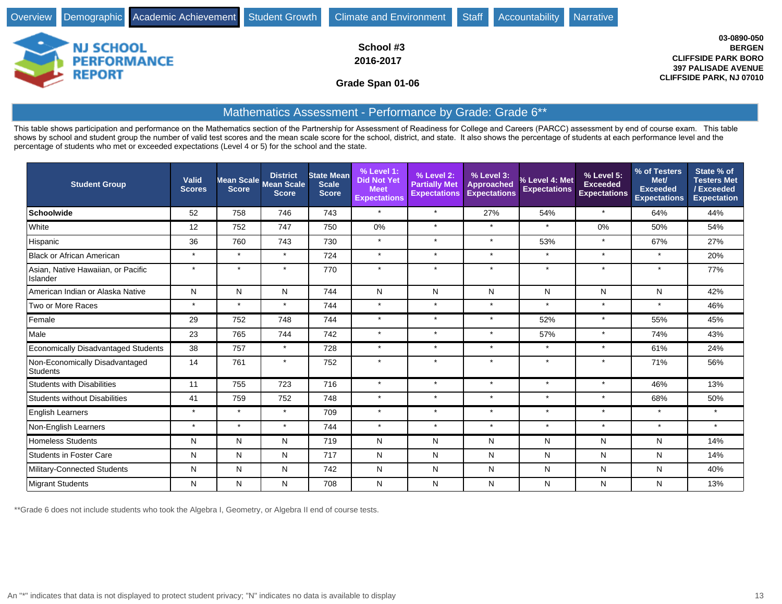|                                                  | Overview Demographic Academic Achievement Student Growth Climate and Environment Staff | Accountability Narrative                                                                                                    |
|--------------------------------------------------|----------------------------------------------------------------------------------------|-----------------------------------------------------------------------------------------------------------------------------|
| <b>NJ SCHOOL</b><br><b>PERFORMANCE</b><br>REPORT | School #3<br>2016-2017<br>Grade Span 01-06                                             | 03-0890-050<br><b>BERGEN</b><br><b>CLIFFSIDE PARK BORO</b><br><b>397 PALISADE AVENUE</b><br><b>CLIFFSIDE PARK, NJ 07010</b> |

# Mathematics Assessment - Performance by Grade: Grade 6\*\*

This table shows participation and performance on the Mathematics section of the Partnership for Assessment of Readiness for College and Careers (PARCC) assessment by end of course exam. This table shows by school and student group the number of valid test scores and the mean scale score for the school, district, and state. It also shows the percentage of students at each performance level and the percentage of students who met or exceeded expectations (Level 4 or 5) for the school and the state.

| <b>Student Group</b>                           | <b>Valid</b><br><b>Scores</b> | <b>Score</b> | <b>District</b><br>Mean Scale Mean Scale<br><b>Score</b> | <b>State Mean</b><br><b>Scale</b><br><b>Score</b> | % Level 1:<br><b>Did Not Yet</b><br><b>Meet</b><br><b>Expectations</b> | % Level 2:<br><b>Partially Met</b><br><b>Expectations</b> | % Level 3:<br><b>Approached</b><br><b>Expectations</b> | % Level 4: Met<br><b>Expectations</b> | % Level 5:<br><b>Exceeded</b><br><b>Expectations</b> | % of Testers<br>Met/<br><b>Exceeded</b><br><b>Expectations</b> | State % of<br><b>Testers Met</b><br>/Exceeded<br><b>Expectation</b> |
|------------------------------------------------|-------------------------------|--------------|----------------------------------------------------------|---------------------------------------------------|------------------------------------------------------------------------|-----------------------------------------------------------|--------------------------------------------------------|---------------------------------------|------------------------------------------------------|----------------------------------------------------------------|---------------------------------------------------------------------|
| <b>Schoolwide</b>                              | 52                            | 758          | 746                                                      | 743                                               | $\star$                                                                | $\star$                                                   | 27%                                                    | 54%                                   | $\star$                                              | 64%                                                            | 44%                                                                 |
| White                                          | 12                            | 752          | 747                                                      | 750                                               | 0%                                                                     | $\star$                                                   | $\star$                                                | $\star$                               | $0\%$                                                | 50%                                                            | 54%                                                                 |
| Hispanic                                       | 36                            | 760          | 743                                                      | 730                                               | $\star$                                                                | $\star$                                                   | $\star$                                                | 53%                                   | $\star$                                              | 67%                                                            | 27%                                                                 |
| Black or African American                      | $\star$                       | $\star$      | $\star$                                                  | 724                                               | $\star$                                                                | $\star$                                                   | $\star$                                                | $\star$                               | $\star$                                              | $\star$                                                        | 20%                                                                 |
| Asian, Native Hawaiian, or Pacific<br>Islander | $\star$                       | $\star$      | $\star$                                                  | 770                                               | $\star$                                                                | $\star$                                                   | $\star$                                                | $\star$                               | $\star$                                              | $\star$                                                        | 77%                                                                 |
| American Indian or Alaska Native               | N                             | N            | N                                                        | 744                                               | N                                                                      | N                                                         | $\mathsf{N}$                                           | N                                     | N                                                    | N                                                              | 42%                                                                 |
| Two or More Races                              | $\star$                       | $\star$      | $\star$                                                  | 744                                               | $\star$                                                                | $\star$                                                   | $\star$                                                | $\star$                               | $\star$                                              | $\star$                                                        | 46%                                                                 |
| Female                                         | 29                            | 752          | 748                                                      | 744                                               | $\star$                                                                | $\star$                                                   | $\star$                                                | 52%                                   | $\star$                                              | 55%                                                            | 45%                                                                 |
| Male                                           | 23                            | 765          | 744                                                      | 742                                               | $\star$                                                                | $\star$                                                   | $\star$                                                | 57%                                   | $\star$                                              | 74%                                                            | 43%                                                                 |
| Economically Disadvantaged Students            | 38                            | 757          | $\star$                                                  | 728                                               | $\star$                                                                | $\star$                                                   | $\star$                                                | $\star$                               | $\star$                                              | 61%                                                            | 24%                                                                 |
| Non-Economically Disadvantaged<br>Students     | 14                            | 761          | $\star$                                                  | 752                                               | $\star$                                                                | $\star$                                                   | $\star$                                                | $\star$                               | $\star$                                              | 71%                                                            | 56%                                                                 |
| <b>Students with Disabilities</b>              | 11                            | 755          | 723                                                      | 716                                               | $\star$                                                                | $\star$                                                   | $\star$                                                | $\star$                               | $\star$                                              | 46%                                                            | 13%                                                                 |
| <b>Students without Disabilities</b>           | 41                            | 759          | 752                                                      | 748                                               | $\star$                                                                | $\star$                                                   | $\star$                                                | $\star$                               | $\star$                                              | 68%                                                            | 50%                                                                 |
| <b>English Learners</b>                        | $\star$                       | $\star$      | $\star$                                                  | 709                                               | $\star$                                                                | $\star$                                                   | $\star$                                                | $\star$                               | $\star$                                              | $\star$                                                        | $\star$                                                             |
| Non-English Learners                           | $\star$                       | $\star$      | $\star$                                                  | 744                                               | $\star$                                                                | $\star$                                                   | $\star$                                                | $\star$                               | $\star$                                              | $\star$                                                        | $\star$                                                             |
| Homeless Students                              | N                             | N            | $\mathsf{N}$                                             | 719                                               | N                                                                      | N                                                         | $\mathsf{N}$                                           | Ν                                     | N                                                    | N                                                              | 14%                                                                 |
| <b>Students in Foster Care</b>                 | N                             | N            | N                                                        | 717                                               | N                                                                      | N                                                         | N                                                      | Ν                                     | N                                                    | N                                                              | 14%                                                                 |
| Military-Connected Students                    | N                             | N            | $\mathsf{N}$                                             | 742                                               | N                                                                      | N                                                         | $\mathsf{N}$                                           | Ν                                     | N                                                    | N                                                              | 40%                                                                 |
| Migrant Students                               | N                             | N            | N                                                        | 708                                               | N                                                                      | N                                                         | N                                                      | N                                     | N                                                    | N                                                              | 13%                                                                 |

\*\*Grade 6 does not include students who took the Algebra I, Geometry, or Algebra II end of course tests.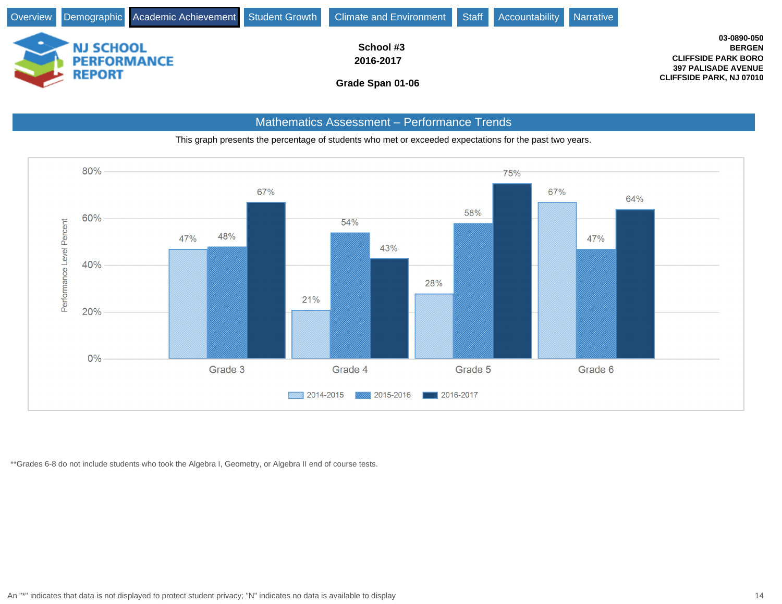

#### Mathematics Assessment - Performance Trends





\*\*Grades 6-8 do not include students who took the Algebra I, Geometry, or Algebra II end of course tests.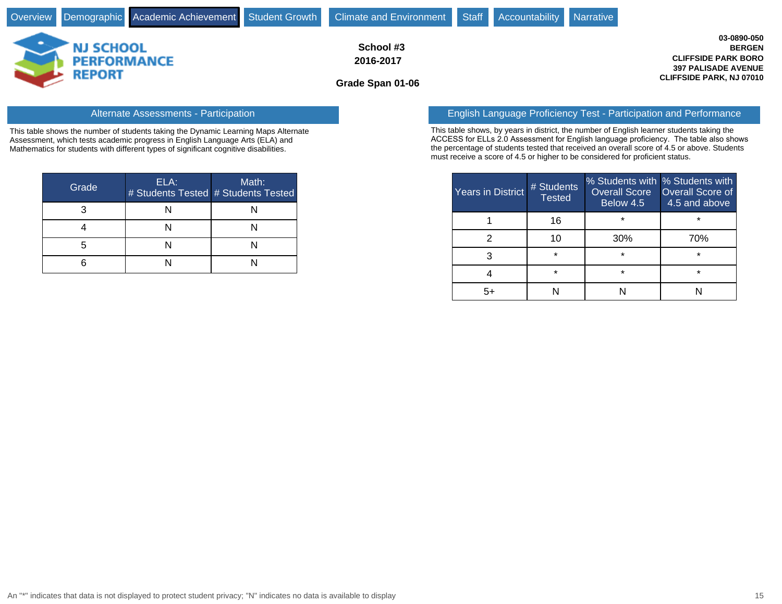| Overview Demographic Academic Achievement Student Growth Climate and Environment |                                            | Staff<br>Accountability<br>Narrative |                                                                                                                             |
|----------------------------------------------------------------------------------|--------------------------------------------|--------------------------------------|-----------------------------------------------------------------------------------------------------------------------------|
| <b>NJ SCHOOL</b><br><b>PERFORMANCE</b><br><b>REPORT</b>                          | School #3<br>2016-2017<br>Grade Span 01-06 |                                      | 03-0890-050<br><b>BERGEN</b><br><b>CLIFFSIDE PARK BORO</b><br><b>397 PALISADE AVENUE</b><br><b>CLIFFSIDE PARK, NJ 07010</b> |

This table shows the number of students taking the Dynamic Learning Maps Alternate Assessment, which tests academic progress in English Language Arts (ELA) and Mathematics for students with different types of significant cognitive disabilities.

| Grade | ELA: | Math:<br># Students Tested # Students Tested |
|-------|------|----------------------------------------------|
|       |      |                                              |
|       |      |                                              |
|       |      |                                              |
|       |      |                                              |

#### Alternate Assessments - Participation English Language Proficiency Test - Participation and Performance

This table shows, by years in district, the number of English learner students taking the ACCESS for ELLs 2.0 Assessment for English language proficiency. The table also shows the percentage of students tested that received an overall score of 4.5 or above. Students must receive a score of 4.5 or higher to be considered for proficient status.

| <b>Years in District</b> | # Students<br><b>Tested</b> | % Students with % Students with<br><b>Overall Score</b><br>Below 4.5 | <b>Overall Score of</b><br>4.5 and above |
|--------------------------|-----------------------------|----------------------------------------------------------------------|------------------------------------------|
|                          | 16                          | $\star$                                                              | $\star$                                  |
|                          | 10                          | 30%                                                                  | 70%                                      |
|                          | $\star$                     | $\star$                                                              | $\star$                                  |
|                          | $\star$                     | $\star$                                                              | $\star$                                  |
| г.                       |                             |                                                                      |                                          |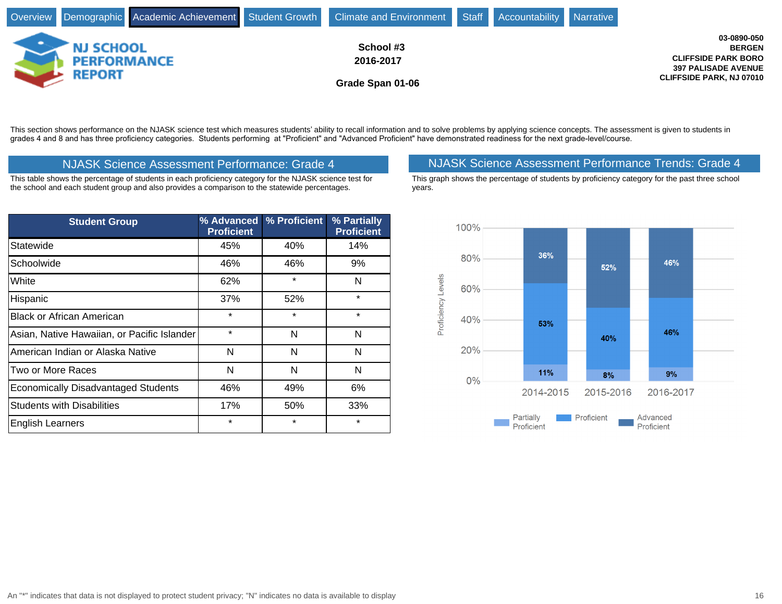|                                     |                  |  |  | Overview Demographic Academic Achievement Student Growth Climate and Environment Staff Accountability Narrative |  |  |                                 |
|-------------------------------------|------------------|--|--|-----------------------------------------------------------------------------------------------------------------|--|--|---------------------------------|
|                                     | <b>NJ SCHOOL</b> |  |  | School #3                                                                                                       |  |  | 03-0890-050<br><b>BERGEN</b>    |
|                                     |                  |  |  | 2016-2017                                                                                                       |  |  | <b>CLIFFSIDE PARK BORO</b>      |
| <b>PERFORMANCE</b><br><b>REPORT</b> |                  |  |  |                                                                                                                 |  |  | <b>397 PALISADE AVENUE</b>      |
|                                     |                  |  |  | Grade Span 01-06                                                                                                |  |  | <b>CLIFFSIDE PARK, NJ 07010</b> |

This section shows performance on the NJASK science test which measures students' ability to recall information and to solve problems by applying science concepts. The assessment is given to students in grades 4 and 8 and has three proficiency categories. Students performing at "Proficient" and "Advanced Proficient" have demonstrated readiness for the next grade-level/course.

This table shows the percentage of students in each proficiency category for the NJASK science test for the school and each student group and also provides a comparison to the statewide percentages.

| <b>Student Group</b>                        | % Advanced<br><b>Proficient</b> | % Proficient | % Partially<br><b>Proficient</b> |
|---------------------------------------------|---------------------------------|--------------|----------------------------------|
| Statewide                                   | 45%                             | 40%          | 14%                              |
| Schoolwide                                  | 46%                             | 46%          | 9%                               |
| White                                       | 62%                             | $\star$      | N                                |
| Hispanic                                    | 37%                             | 52%          | $\star$                          |
| <b>Black or African American</b>            | $\star$                         | $\star$      | $\star$                          |
| Asian, Native Hawaiian, or Pacific Islander | $\star$                         | N            | N                                |
| American Indian or Alaska Native            | N                               | N            | N                                |
| Two or More Races                           | N                               | N            | N                                |
| <b>Economically Disadvantaged Students</b>  | 46%                             | 49%          | 6%                               |
| <b>Students with Disabilities</b>           | 17%                             | 50%          | 33%                              |
| <b>English Learners</b>                     | $\star$                         | $\star$      | $\star$                          |

## NJASK Science Assessment Performance: Grade 4 NJASK Science Assessment Performance Trends: Grade 4

This graph shows the percentage of students by proficiency category for the past three school years.

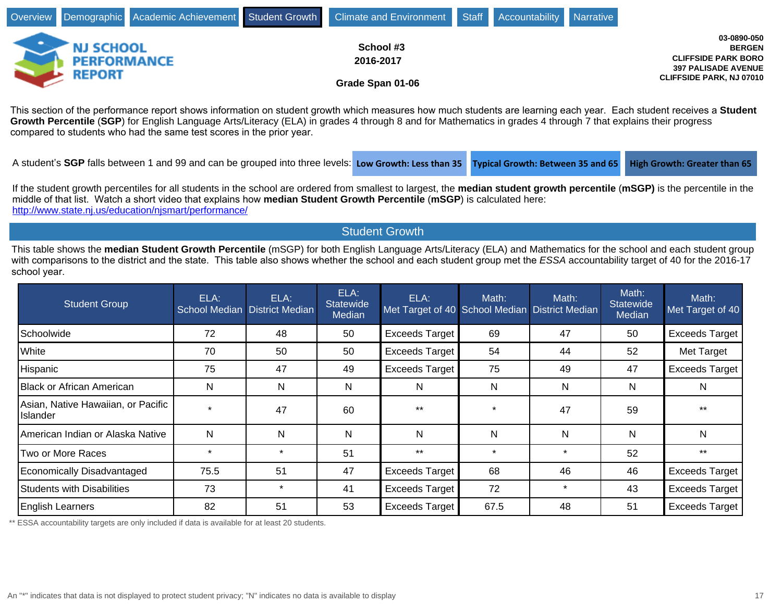|                                                         |  | Overview Demographic Academic Achievement Student Growth Climate and Environment Staff Accountability Narrative |  |                                                                                                                             |
|---------------------------------------------------------|--|-----------------------------------------------------------------------------------------------------------------|--|-----------------------------------------------------------------------------------------------------------------------------|
| <b>NJ SCHOOL</b><br><b>PERFORMANCE</b><br><b>REPORT</b> |  | School #3<br>2016-2017<br>Grade Span 01-06                                                                      |  | 03-0890-050<br><b>BERGEN</b><br><b>CLIFFSIDE PARK BORO</b><br><b>397 PALISADE AVENUE</b><br><b>CLIFFSIDE PARK, NJ 07010</b> |

This section of the performance report shows information on student growth which measures how much students are learning each year. Each student receives a Student **Growth Percentile** (**SGP**) for English Language Arts/Literacy (ELA) in grades 4 through 8 and for Mathematics in grades 4 through 7 that explains their progress compared to students who had the same test scores in the prior year.

A student's SGP falls between 1 and 99 and can be grouped into three levels: Low Growth: Less than 35 **Typical Growth: Between 35 and 65** High Growth: Greater than 65

If the student growth percentiles for all students in the school are ordered from smallest to largest, the **median student growth percentile** (**mSGP)** is the percentile in the middle of that list. Watch a short video that explains how median Student Growth Percentile (mSGP) is calculated here: <http://www.state.nj.us/education/njsmart/performance/>

Student Growth

This table shows the **median Student Growth Percentile** (mSGP) for both English Language Arts/Literacy (ELA) and Mathematics for the school and each student group with comparisons to the district and the state. This table also shows whether the school and each student group met the ESSA accountability target of 40 for the 2016-17 school year.

| <b>Student Group</b>                                  | ELA:    | ELA:<br>School Median District Median | ELA:<br><b>Statewide</b><br><b>Median</b> | ELA:<br>Met Target of 40 School Median District Median | Math:   | Math:        | Math:<br><b>Statewide</b><br>Median | Math:<br>Met Target of 40 |
|-------------------------------------------------------|---------|---------------------------------------|-------------------------------------------|--------------------------------------------------------|---------|--------------|-------------------------------------|---------------------------|
| Schoolwide                                            | 72      | 48                                    | 50                                        | Exceeds Target                                         | 69      | 47           | 50                                  | <b>Exceeds Target</b>     |
| <b>White</b>                                          | 70      | 50                                    | 50                                        | Exceeds Target                                         | 54      | 44           | 52                                  | Met Target                |
| <b>Hispanic</b>                                       | 75      | 47                                    | 49                                        | Exceeds Target                                         | 75      | 49           | 47                                  | <b>Exceeds Target</b>     |
| Black or African American                             | N       | N                                     | Ν                                         | N                                                      | N       | N            | Ν                                   | N                         |
| Asian, Native Hawaiian, or Pacific<br><b>Islander</b> |         | 47                                    | 60                                        | $***$                                                  |         | 47           | 59                                  | $***$                     |
| American Indian or Alaska Native                      | N       | N                                     | N                                         | N                                                      | N       | $\mathsf{N}$ | N                                   | N                         |
| Two or More Races                                     | $\star$ | $\star$                               | 51                                        | $***$                                                  | $\star$ | $\star$      | 52                                  | $***$                     |
| Economically Disadvantaged                            | 75.5    | 51                                    | 47                                        | Exceeds Target                                         | 68      | 46           | 46                                  | <b>Exceeds Target</b>     |
| Students with Disabilities                            | 73      | $\star$                               | 41                                        | Exceeds Target                                         | 72      | $\star$      | 43                                  | <b>Exceeds Target</b>     |
| <b>English Learners</b>                               | 82      | 51                                    | 53                                        | Exceeds Target                                         | 67.5    | 48           | 51                                  | <b>Exceeds Target</b>     |

\*\* ESSA accountability targets are only included if data is available for at least 20 students.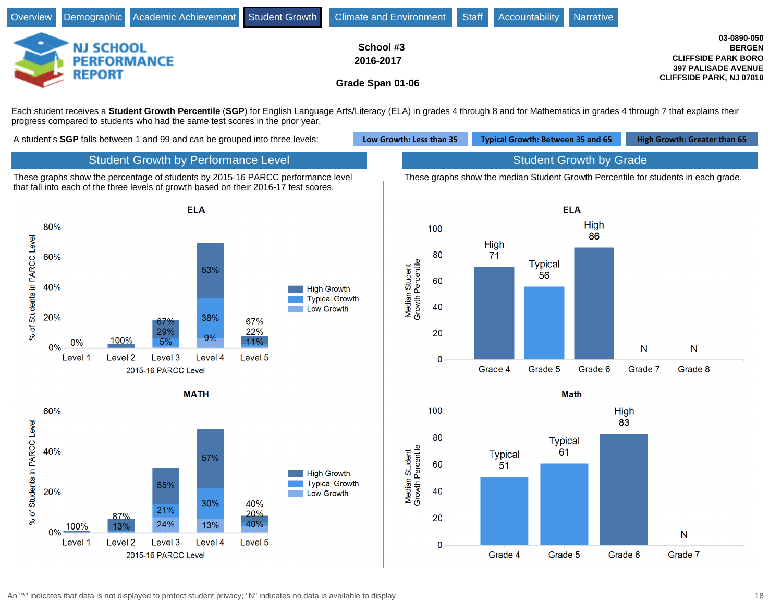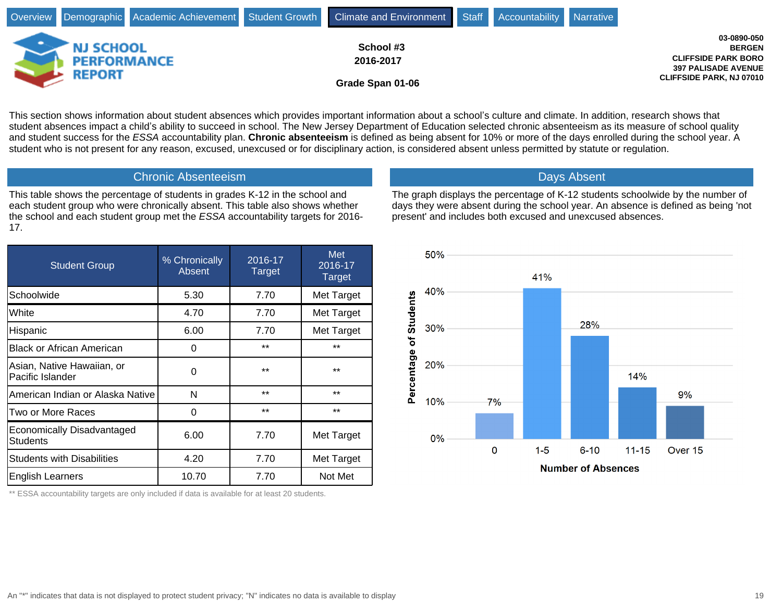|                                     |  |           |  |           | Overview Demographic Academic Achievement Student Growth Climate and Environment Staff Accountability Narrative |                                                            |  |                                                               |
|-------------------------------------|--|-----------|--|-----------|-----------------------------------------------------------------------------------------------------------------|------------------------------------------------------------|--|---------------------------------------------------------------|
| <b>NJ SCHOOL</b>                    |  | School #3 |  |           |                                                                                                                 | 03-0890-050<br><b>BERGEN</b><br><b>CLIFFSIDE PARK BORO</b> |  |                                                               |
| <b>PERFORMANCE</b><br><b>REPORT</b> |  |           |  | 2016-2017 |                                                                                                                 |                                                            |  | <b>397 PALISADE AVENUE</b><br><b>CLIFFSIDE PARK, NJ 07010</b> |
|                                     |  |           |  |           | Grade Span 01-06                                                                                                |                                                            |  |                                                               |

This section shows information about student absences which provides important information about a school's culture and climate. In addition, research shows that student absences impact a child's ability to succeed in school. The New Jersey Department of Education selected chronic absenteeism as its measure of school quality and student success for the ESSA accountability plan. **Chronic absenteeism** is defined as being absent for 10% or more of the days enrolled during the school year. A student who is not present for any reason, excused, unexcused or for disciplinary action, is considered absent unless permitted by statute or regulation.

#### Chronic Absenteeism

This table shows the percentage of students in grades K-12 in the school and each student group who were chronically absent. This table also shows whether the school and each student group met the ESSA accountability targets for 2016- 17.

| <b>Student Group</b>                           | % Chronically<br>Absent | 2016-17<br><b>Target</b> | <b>Met</b><br>2016-17<br>Target |
|------------------------------------------------|-------------------------|--------------------------|---------------------------------|
| Schoolwide                                     | 5.30                    | 7.70                     | Met Target                      |
| White                                          | 4.70                    | 7.70                     | Met Target                      |
| Hispanic                                       | 6.00                    | 7.70                     | Met Target                      |
| <b>Black or African American</b>               | 0                       | $***$                    | $***$                           |
| Asian, Native Hawaiian, or<br>Pacific Islander | 0                       | $***$                    | $***$                           |
| American Indian or Alaska Native               | N                       | $***$                    | $***$                           |
| Two or More Races                              | 0                       | $***$                    | $***$                           |
| Economically Disadvantaged<br><b>Students</b>  | 6.00                    | 7.70                     | Met Target                      |
| <b>Students with Disabilities</b>              | 4.20                    | 7.70                     | Met Target                      |
| <b>English Learners</b>                        | 10.70                   | 7.70                     | Not Met                         |

\*\* ESSA accountability targets are only included if data is available for at least 20 students.

## Days Absent

The graph displays the percentage of K-12 students schoolwide by the number of days they were absent during the school year. An absence is defined as being 'not present' and includes both excused and unexcused absences.

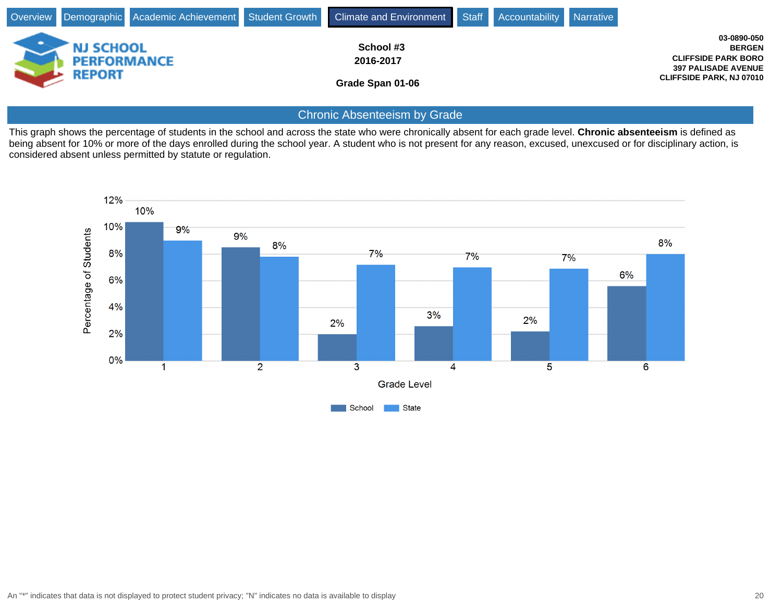|                                                         |  | Overview Demographic Academic Achievement Student Growth Climate and Environment Staff Accountability Narrative |  |                                                                                                                             |
|---------------------------------------------------------|--|-----------------------------------------------------------------------------------------------------------------|--|-----------------------------------------------------------------------------------------------------------------------------|
| <b>NJ SCHOOL</b><br><b>PERFORMANCE</b><br><b>REPORT</b> |  | School #3<br>2016-2017<br>Grade Span 01-06                                                                      |  | 03-0890-050<br><b>BERGEN</b><br><b>CLIFFSIDE PARK BORO</b><br><b>397 PALISADE AVENUE</b><br><b>CLIFFSIDE PARK, NJ 07010</b> |

## Chronic Absenteeism by Grade

This graph shows the percentage of students in the school and across the state who were chronically absent for each grade level. **Chronic absenteeism** is defined as being absent for 10% or more of the days enrolled during the school year. A student who is not present for any reason, excused, unexcused or for disciplinary action, is considered absent unless permitted by statute or regulation.

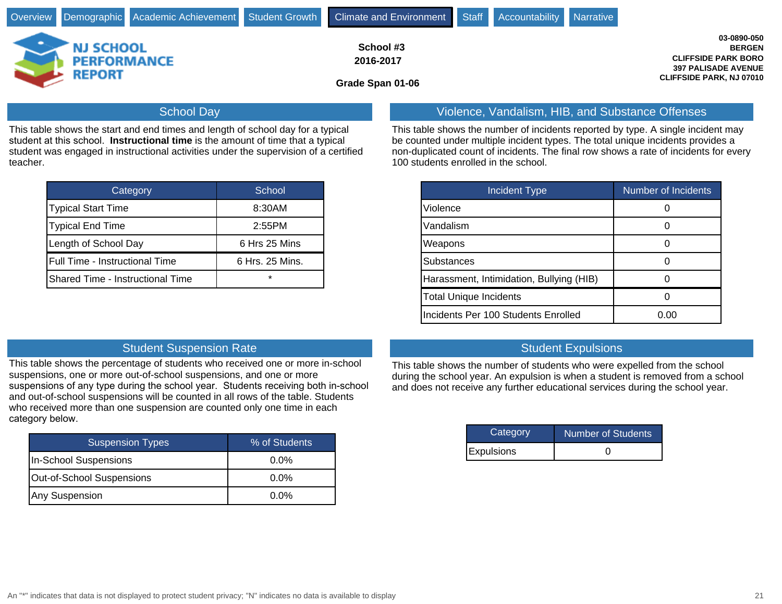|                                                         |  | Overview Demographic Academic Achievement Student Growth Climate and Environment Staff |                                            |  |  | Accountability Narrative |                                                                                                                             |
|---------------------------------------------------------|--|----------------------------------------------------------------------------------------|--------------------------------------------|--|--|--------------------------|-----------------------------------------------------------------------------------------------------------------------------|
| <b>NJ SCHOOL</b><br><b>PERFORMANCE</b><br><b>REPORT</b> |  |                                                                                        | School #3<br>2016-2017<br>Grade Span 01-06 |  |  |                          | 03-0890-050<br><b>BERGEN</b><br><b>CLIFFSIDE PARK BORO</b><br><b>397 PALISADE AVENUE</b><br><b>CLIFFSIDE PARK, NJ 07010</b> |
|                                                         |  | <b>School Day</b>                                                                      |                                            |  |  |                          | Violence, Vandalism, HIB, and Substance Offenses                                                                            |

This table shows the start and end times and length of school day for a typical student at this school. Instructional time is the amount of time that a typical student was engaged in instructional activities under the supervision of a certified teacher.

| Category                         | School          |
|----------------------------------|-----------------|
| <b>Typical Start Time</b>        | 8:30AM          |
| <b>Typical End Time</b>          | 2:55PM          |
| Length of School Day             | 6 Hrs 25 Mins   |
| Full Time - Instructional Time   | 6 Hrs. 25 Mins. |
| Shared Time - Instructional Time | $\star$         |

This table shows the number of incidents reported by type. A single incident may be counted under multiple incident types. The total unique incidents provides a non-duplicated count of incidents. The final row shows a rate of incidents for every 100 students enrolled in the school.

| <b>Incident Type</b>                     | <b>Number of Incidents</b> |
|------------------------------------------|----------------------------|
| Violence                                 |                            |
| Vandalism                                |                            |
| Weapons                                  |                            |
| <b>Substances</b>                        |                            |
| Harassment, Intimidation, Bullying (HIB) |                            |
| <b>Total Unique Incidents</b>            |                            |
| Incidents Per 100 Students Enrolled      | 0.00                       |

#### **Student Suspension Rate Student Expulsions** Student Expulsions

This table shows the percentage of students who received one or more in-school suspensions, one or more out-of-school suspensions, and one or more suspensions of any type during the school year. Students receiving both in-school and out-of-school suspensions will be counted in all rows of the table. Students who received more than one suspension are counted only one time in each category below.

| Suspension Types          | % of Students |
|---------------------------|---------------|
| In-School Suspensions     | $0.0\%$       |
| Out-of-School Suspensions | $0.0\%$       |
| Any Suspension            | $0.0\%$       |

This table shows the number of students who were expelled from the school during the school year. An expulsion is when a student is removed from a school and does not receive any further educational services during the school year.

| Category          | Number of Students |
|-------------------|--------------------|
| <b>Expulsions</b> |                    |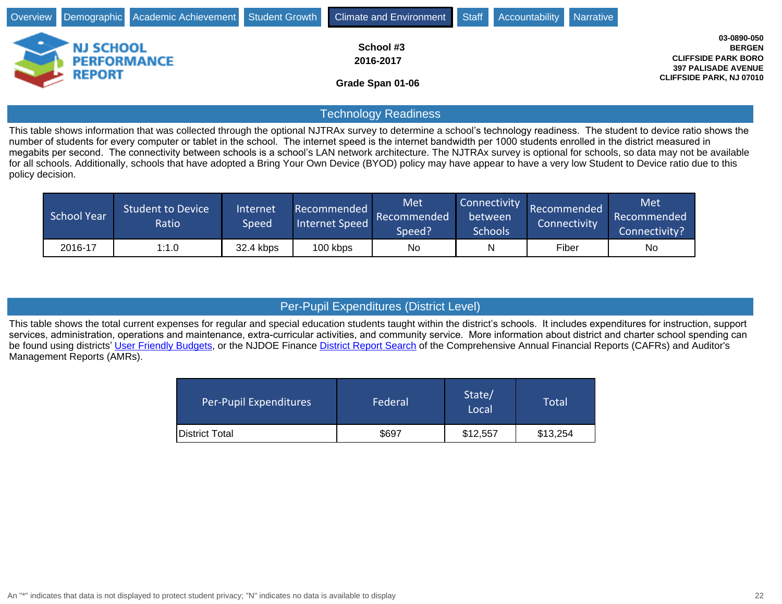|   |                                                  |  | Overview Demographic Academic Achievement Student Growth Climate and Environment Staff Accountability Narrative |  |                                                                                                                             |
|---|--------------------------------------------------|--|-----------------------------------------------------------------------------------------------------------------|--|-----------------------------------------------------------------------------------------------------------------------------|
| ٠ | <b>NJ SCHOOL</b><br><b>PERFORMANCE</b><br>REPORT |  | School #3<br>2016-2017<br>Grade Span 01-06                                                                      |  | 03-0890-050<br><b>BERGEN</b><br><b>CLIFFSIDE PARK BORO</b><br><b>397 PALISADE AVENUE</b><br><b>CLIFFSIDE PARK, NJ 07010</b> |

## Technology Readiness

This table shows information that was collected through the optional NJTRAx survey to determine a school's technology readiness. The student to device ratio shows the number of students for every computer or tablet in the school. The internet speed is the internet bandwidth per 1000 students enrolled in the district measured in megabits per second. The connectivity between schools is a school's LAN network architecture. The NJTRAx survey is optional for schools, so data may not be available for all schools. Additionally, schools that have adopted a Bring Your Own Device (BYOD) policy may have appear to have a very low Student to Device ratio due to this policy decision.

| <b>School Year</b> | <b>Student to Device</b><br>Ratio | Internet<br>Speed | Recommended<br><b>Internet Speed</b> | Met<br>Recommended<br>Speed? | Connectivity<br>between<br>Schools | Recommended<br>Connectivity | Met<br>Recommended<br>Connectivity? |
|--------------------|-----------------------------------|-------------------|--------------------------------------|------------------------------|------------------------------------|-----------------------------|-------------------------------------|
| 2016-17            | 1:1.0                             | 32.4 kbps         | 100 kbps                             | <b>No</b>                    | N                                  | Fiber                       | No                                  |

## Per-Pupil Expenditures (District Level)

This table shows the total current expenses for regular and special education students taught within the district's schools. It includes expenditures for instruction, support services, administration, operations and maintenance, extra-curricular activities, and community service. More information about district and charter school spending can be found using districts' [User Friendly Budgets,](http://www.nj.gov/education/finance/fp/ufb/) or the NJDOE Finance [District Report Search](http://www.nj.gov/education/finance/fp/cafr/search/) of the Comprehensive Annual Financial Reports (CAFRs) and Auditor's Management Reports (AMRs).

| Per-Pupil Expenditures | Federal | State/<br>Local | Total    |
|------------------------|---------|-----------------|----------|
| <b>District Total</b>  | \$697   | \$12,557        | \$13,254 |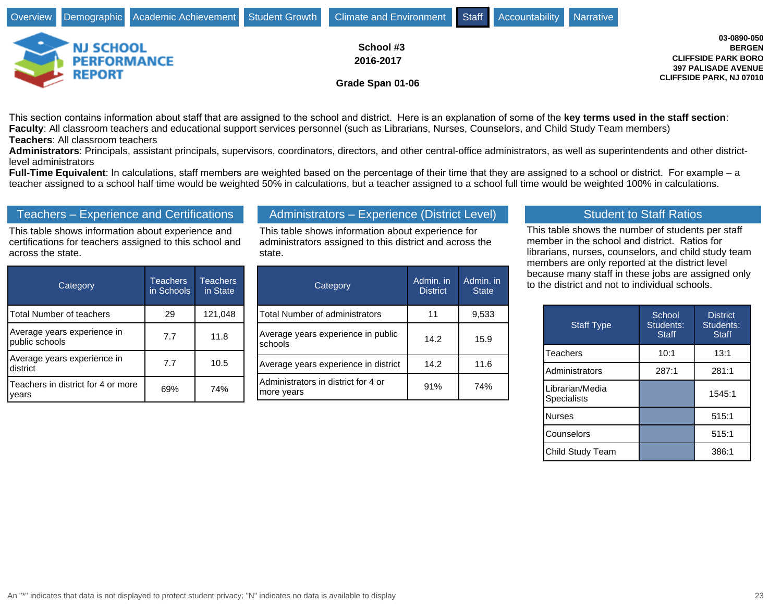|                                                         |  | Overview Demographic Academic Achievement Student Growth Climate and Environment Staff Accountability Narrative |  |                                                                                                                             |
|---------------------------------------------------------|--|-----------------------------------------------------------------------------------------------------------------|--|-----------------------------------------------------------------------------------------------------------------------------|
| <b>NJ SCHOOL</b><br><b>PERFORMANCE</b><br><b>REPORT</b> |  | School #3<br>2016-2017<br>Grade Span 01-06                                                                      |  | 03-0890-050<br><b>BERGEN</b><br><b>CLIFFSIDE PARK BORO</b><br><b>397 PALISADE AVENUE</b><br><b>CLIFFSIDE PARK, NJ 07010</b> |

This section contains information about staff that are assigned to the school and district. Here is an explanation of some of the key terms used in the staff section: **Faculty**: All classroom teachers and educational support services personnel (such as Librarians, Nurses, Counselors, and Child Study Team members) **Teachers**: All classroom teachers

**Administrators**: Principals, assistant principals, supervisors, coordinators, directors, and other central-office administrators, as well as superintendents and other districtlevel administrators

Full-Time Equivalent: In calculations, staff members are weighted based on the percentage of their time that they are assigned to a school or district. For example - a teacher assigned to a school half time would be weighted 50% in calculations, but a teacher assigned to a school full time would be weighted 100% in calculations.

### Teachers - Experience and Certifications

This table shows information about experience and certifications for teachers assigned to this school and across the state.

| Category                                      | <b>Teachers</b><br>in Schools | <b>Teachers</b><br>in State |
|-----------------------------------------------|-------------------------------|-----------------------------|
| Total Number of teachers                      | 29                            | 121,048                     |
| Average years experience in<br>public schools | 7.7                           | 11.8                        |
| Average years experience in<br>district       | 7.7                           | 10.5                        |
| Teachers in district for 4 or more<br>vears   | 69%                           | 74%                         |

## Administrators - Experience (District Level)

This table shows information about experience for administrators assigned to this district and across the state.

| Category                                          | Admin. in<br><b>District</b> | Admin. in<br><b>State</b> |
|---------------------------------------------------|------------------------------|---------------------------|
| <b>Total Number of administrators</b>             | 11                           | 9,533                     |
| Average years experience in public<br>schools     | 14.2                         | 15.9                      |
| Average years experience in district              | 14.2                         | 11.6                      |
| Administrators in district for 4 or<br>more years | 91%                          | 74%                       |

#### Student to Staff Ratios

This table shows the number of students per staff member in the school and district. Ratios for librarians, nurses, counselors, and child study team members are only reported at the district level because many staff in these jobs are assigned only to the district and not to individual schools.

| <b>Staff Type</b>              | School<br>Students:<br><b>Staff</b> | <b>District</b><br>Students:<br><b>Staff</b> |
|--------------------------------|-------------------------------------|----------------------------------------------|
| Teachers                       | 10:1                                | 13:1                                         |
| Administrators                 | 287:1                               | 281:1                                        |
| Librarian/Media<br>Specialists |                                     | 1545:1                                       |
| <b>Nurses</b>                  |                                     | 515:1                                        |
| Counselors                     |                                     | 515:1                                        |
| Child Study Team               |                                     | 386:1                                        |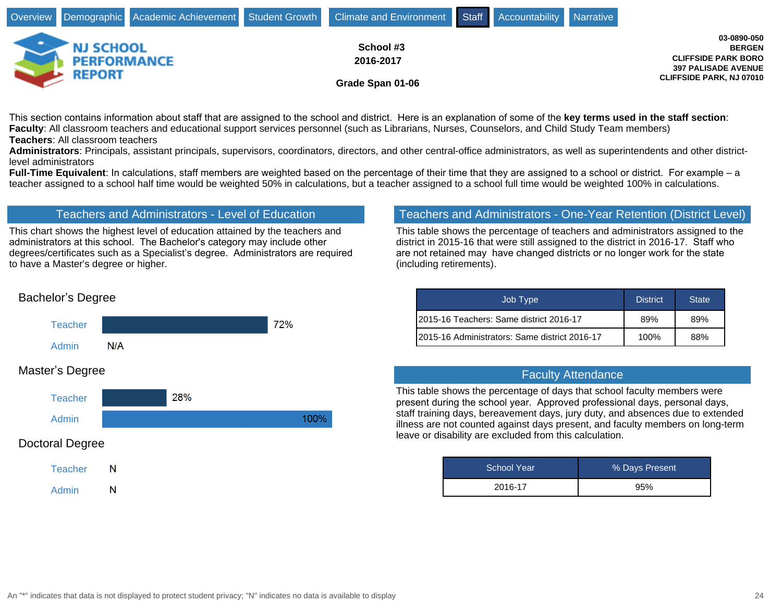|                                                         |  | Overview Demographic Academic Achievement Student Growth Climate and Environment Staff Accountability Narrative |  |                                                                                                                             |
|---------------------------------------------------------|--|-----------------------------------------------------------------------------------------------------------------|--|-----------------------------------------------------------------------------------------------------------------------------|
| <b>NJ SCHOOL</b><br><b>PERFORMANCE</b><br><b>REPORT</b> |  | School #3<br>2016-2017<br>Grade Span 01-06                                                                      |  | 03-0890-050<br><b>BERGEN</b><br><b>CLIFFSIDE PARK BORO</b><br><b>397 PALISADE AVENUE</b><br><b>CLIFFSIDE PARK, NJ 07010</b> |

This section contains information about staff that are assigned to the school and district. Here is an explanation of some of the key terms used in the staff section: **Faculty**: All classroom teachers and educational support services personnel (such as Librarians, Nurses, Counselors, and Child Study Team members) **Teachers**: All classroom teachers

**Administrators**: Principals, assistant principals, supervisors, coordinators, directors, and other central-office administrators, as well as superintendents and other districtlevel administrators

**Full-Time Equivalent**: In calculations, staff members are weighted based on the percentage of their time that they are assigned to a school or district. For example – a teacher assigned to a school half time would be weighted 50% in calculations, but a teacher assigned to a school full time would be weighted 100% in calculations.

## Teachers and Administrators - Level of Education

This chart shows the highest level of education attained by the teachers and administrators at this school. The Bachelor's category may include other degrees/certificates such as a Specialist's degree. Administrators are required to have a Master's degree or higher.

## Teachers and Administrators - One-Year Retention (District Level)

This table shows the percentage of teachers and administrators assigned to the district in 2015-16 that were still assigned to the district in 2016-17. Staff who are not retained may have changed districts or no longer work for the state (including retirements).

| Job Type                                      | <b>District</b> | <b>State</b> |
|-----------------------------------------------|-----------------|--------------|
| 12015-16 Teachers: Same district 2016-17      | 89%             | 89%          |
| 2015-16 Administrators: Same district 2016-17 | 100%            | 88%          |

## Faculty Attendance

This table shows the percentage of days that school faculty members were present during the school year. Approved professional days, personal days, staff training days, bereavement days, jury duty, and absences due to extended illness are not counted against days present, and faculty members on long-term leave or disability are excluded from this calculation.

| School Year | % Days Present |
|-------------|----------------|
| 2016-17     | 95%            |

## Bachelor's Degree



## Master's Degree



## Doctoral Degree

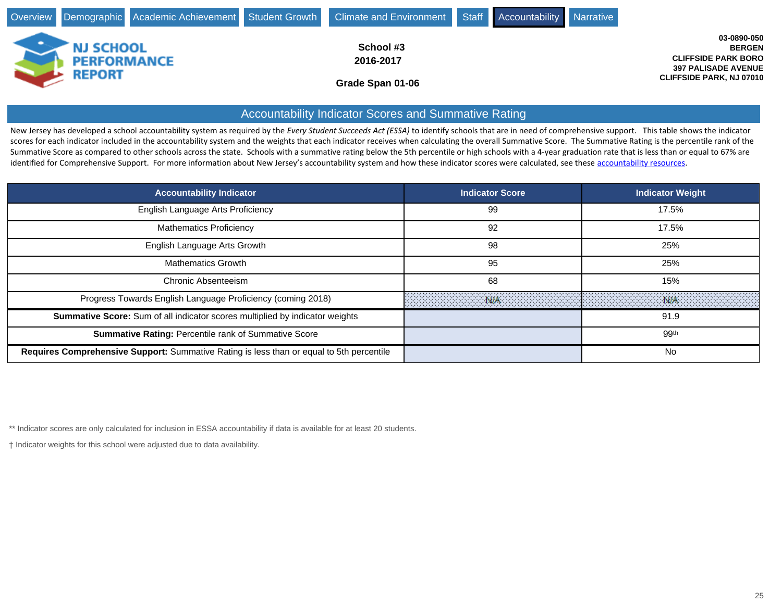|                                   |                    | Overview Demographic Academic Achievement Student Growth Climate and Environment Staff Accountability Narrative |  |                                                                                                                             |
|-----------------------------------|--------------------|-----------------------------------------------------------------------------------------------------------------|--|-----------------------------------------------------------------------------------------------------------------------------|
| <b>NJ SCHOOL</b><br><b>REPORT</b> | <b>PERFORMANCE</b> | School #3<br>2016-2017<br>Grade Span 01-06                                                                      |  | 03-0890-050<br><b>BERGEN</b><br><b>CLIFFSIDE PARK BORO</b><br><b>397 PALISADE AVENUE</b><br><b>CLIFFSIDE PARK, NJ 07010</b> |

## Accountability Indicator Scores and Summative Rating

New Jersey has developed a school accountability system as required by the *Every Student Succeeds Act (ESSA)* to identify schools that are in need of comprehensive support. This table shows the indicator scores for each indicator included in the accountability system and the weights that each indicator receives when calculating the overall Summative Score. The Summative Rating is the percentile rank of the Summative Score as compared to other schools across the state. Schools with a summative rating below the 5th percentile or high schools with a 4-year graduation rate that is less than or equal to 67% are identified for Comprehensive Support. For more information about New Jersey's accountability system and how these indicator scores were calculated, see these [accountability resources](http://www.state.nj.us/education/title1/accountability/progress/17/).

| <b>Accountability Indicator</b>                                                          | <b>Indicator Score</b> | <b>Indicator Weight</b> |
|------------------------------------------------------------------------------------------|------------------------|-------------------------|
| English Language Arts Proficiency                                                        | 99                     | 17.5%                   |
| <b>Mathematics Proficiency</b>                                                           | 92                     | 17.5%                   |
| English Language Arts Growth                                                             | 98                     | 25%                     |
| <b>Mathematics Growth</b>                                                                | 95                     | 25%                     |
| Chronic Absenteeism                                                                      | 68                     | 15%                     |
| Progress Towards English Language Proficiency (coming 2018)                              |                        |                         |
| Summative Score: Sum of all indicator scores multiplied by indicator weights             |                        | 91.9                    |
| Summative Rating: Percentile rank of Summative Score                                     |                        | 99th                    |
| Requires Comprehensive Support: Summative Rating is less than or equal to 5th percentile |                        | No.                     |

\*\* Indicator scores are only calculated for inclusion in ESSA accountability if data is available for at least 20 students.

Indicator weights for this school were adjusted due to data availability.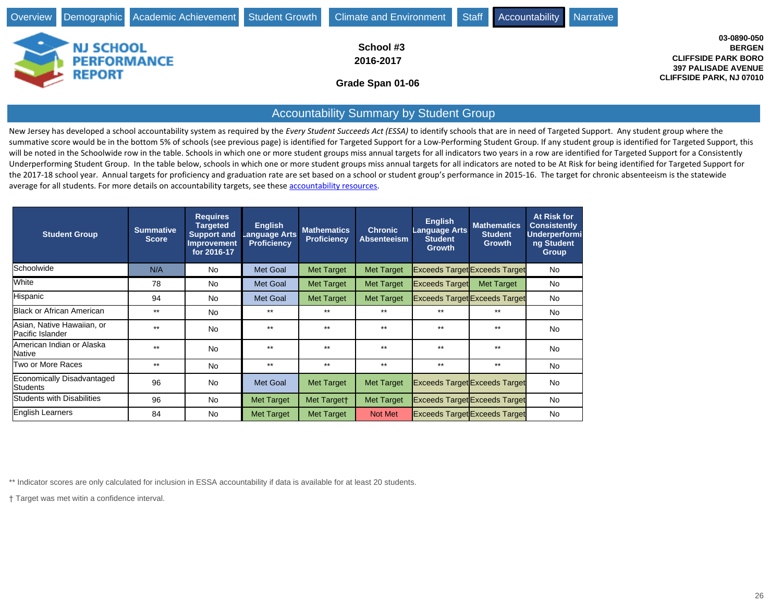

## Accountability Summary by Student Group

New Jersey has developed a school accountability system as required by the *Every Student Succeeds Act (ESSA)* to identify schools that are in need of Targeted Support. Any student group where the summative score would be in the bottom 5% of schools (see previous page) is identified for Targeted Support for a Low-Performing Student Group. If any student group is identified for Targeted Support, this will be noted in the Schoolwide row in the table. Schools in which one or more student groups miss annual targets for all indicators two years in a row are identified for Targeted Support for a Consistently Underperforming Student Group. In the table below, schools in which one or more student groups miss annual targets for all indicators are noted to be At Risk for being identified for Targeted Support for the 2017-18 school year. Annual targets for proficiency and graduation rate are set based on a school or student group's performance in 2015-16. The target for chronic absenteeism is the statewide average for all students. For more details on accountability targets, see these [accountability resources](http://www.state.nj.us/education/title1/accountability/progress/17/).

| <b>Student Group</b>                           | <b>Summative</b><br><b>Score</b> | <b>Requires</b><br><b>Targeted</b><br><b>Support and</b><br><b>Improvement</b><br>for 2016-17 | <b>English</b><br>Language Arts<br><b>Proficiency</b> | <b>Mathematics</b><br><b>Proficiency</b> | <b>Chronic</b><br><b>Absenteeism</b> | <b>English</b><br><b>Language Arts</b><br><b>Student</b><br><b>Growth</b> | <b>Mathematics</b><br><b>Student</b><br><b>Growth</b> | At Risk for<br><b>Consistently</b><br><b>Underperformi</b><br>ng Student<br><b>Group</b> |
|------------------------------------------------|----------------------------------|-----------------------------------------------------------------------------------------------|-------------------------------------------------------|------------------------------------------|--------------------------------------|---------------------------------------------------------------------------|-------------------------------------------------------|------------------------------------------------------------------------------------------|
| <b>Schoolwide</b>                              | N/A                              | <b>No</b>                                                                                     | Met Goal                                              | <b>Met Target</b>                        | <b>Met Target</b>                    |                                                                           | <b>Exceeds Target Exceeds Target</b>                  | No                                                                                       |
| <b>White</b>                                   | 78                               | <b>No</b>                                                                                     | Met Goal                                              | Met Target                               | Met Target                           | <b>Exceeds Target</b>                                                     | <b>Met Target</b>                                     | No                                                                                       |
| Hispanic                                       | 94                               | <b>No</b>                                                                                     | Met Goal                                              | <b>Met Target</b>                        | Met Target                           |                                                                           | <b>Exceeds Target Exceeds Target</b>                  | No                                                                                       |
| Black or African American                      | $***$                            | <b>No</b>                                                                                     | $***$                                                 | $**$                                     | $***$                                | $***$                                                                     | $***$                                                 | No                                                                                       |
| Asian, Native Hawaiian, or<br>Pacific Islander | $**$                             | <b>No</b>                                                                                     | $***$                                                 | $***$                                    | $***$                                | $***$                                                                     | $***$                                                 | No                                                                                       |
| lAmerican Indian or Alaska<br>lNative          | $**$                             | <b>No</b>                                                                                     | $***$                                                 | $**$                                     | $***$                                | $***$                                                                     | $**$                                                  | No                                                                                       |
| Two or More Races                              | $***$                            | <b>No</b>                                                                                     | $***$                                                 | $**$                                     | $***$                                | $***$                                                                     | $***$                                                 | No                                                                                       |
| Economically Disadvantaged<br>Students         | 96                               | <b>No</b>                                                                                     | Met Goal                                              | <b>Met Target</b>                        | Met Target                           |                                                                           | <b>Exceeds Target Exceeds Target</b>                  | No                                                                                       |
| Students with Disabilities                     | 96                               | <b>No</b>                                                                                     | Met Target                                            | Met Targett                              | Met Target                           |                                                                           | <b>Exceeds Target Exceeds Target</b>                  | No                                                                                       |
| English Learners                               | 84                               | <b>No</b>                                                                                     | <b>Met Target</b>                                     | Met Target                               | Not Met                              |                                                                           | <b>Exceeds Target Exceeds Target</b>                  | No                                                                                       |

\*\* Indicator scores are only calculated for inclusion in ESSA accountability if data is available for at least 20 students.

Target was met witin a confidence interval.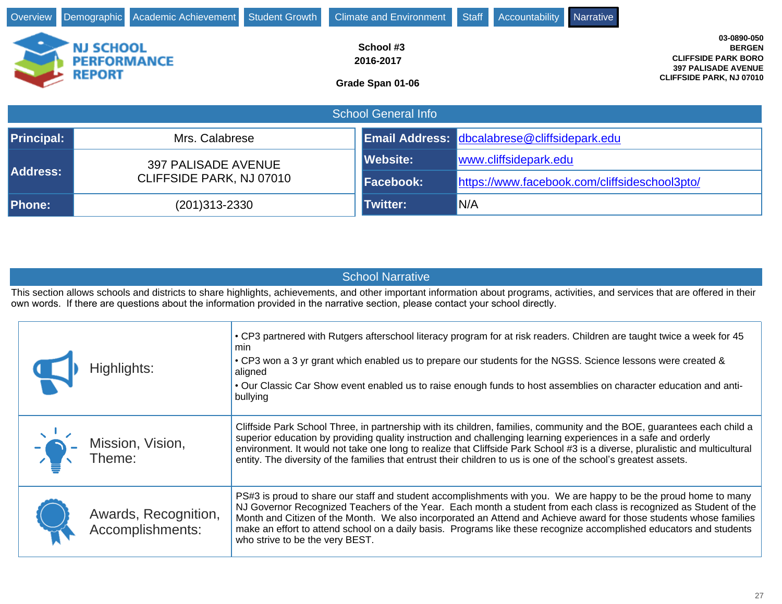| Overview          |                                                         | Demographic Academic Achievement Student Growth |                 | <b>Climate and Environment</b>             |  | Staff                                         | <b>Accountability</b>                        | Narrative |                                                                                                                             |
|-------------------|---------------------------------------------------------|-------------------------------------------------|-----------------|--------------------------------------------|--|-----------------------------------------------|----------------------------------------------|-----------|-----------------------------------------------------------------------------------------------------------------------------|
|                   | <b>NJ SCHOOL</b><br><b>PERFORMANCE</b><br><b>REPORT</b> |                                                 |                 | School #3<br>2016-2017<br>Grade Span 01-06 |  |                                               |                                              |           | 03-0890-050<br><b>BERGEN</b><br><b>CLIFFSIDE PARK BORO</b><br><b>397 PALISADE AVENUE</b><br><b>CLIFFSIDE PARK, NJ 07010</b> |
|                   | <b>School General Info</b>                              |                                                 |                 |                                            |  |                                               |                                              |           |                                                                                                                             |
| <b>Principal:</b> |                                                         | Mrs. Calabrese                                  |                 |                                            |  |                                               | Email Address: dbcalabrese@cliffsidepark.edu |           |                                                                                                                             |
|                   | <b>397 PALISADE AVENUE</b>                              |                                                 | <b>Website:</b> |                                            |  | www.cliffsidepark.edu                         |                                              |           |                                                                                                                             |
| <b>Address:</b>   |                                                         | CLIFFSIDE PARK, NJ 07010                        |                 | <b>Facebook:</b>                           |  | https://www.facebook.com/cliffsideschool3pto/ |                                              |           |                                                                                                                             |
| <b>Phone:</b>     |                                                         | (201)313-2330                                   |                 | <b>Twitter:</b>                            |  | N/A                                           |                                              |           |                                                                                                                             |

| <b>School Narrative</b> |
|-------------------------|
|                         |

This section allows schools and districts to share highlights, achievements, and other important information about programs, activities, and services that are offered in their own words. If there are questions about the information provided in the narrative section, please contact your school directly.

| Highlights:                              | • CP3 partnered with Rutgers afterschool literacy program for at risk readers. Children are taught twice a week for 45<br>min<br>• CP3 won a 3 yr grant which enabled us to prepare our students for the NGSS. Science lessons were created &<br>aligned<br>• Our Classic Car Show event enabled us to raise enough funds to host assemblies on character education and anti-<br>bullying                                                                                                                             |
|------------------------------------------|-----------------------------------------------------------------------------------------------------------------------------------------------------------------------------------------------------------------------------------------------------------------------------------------------------------------------------------------------------------------------------------------------------------------------------------------------------------------------------------------------------------------------|
| $\frac{1}{2}$ Mission, Vision,           | Cliffside Park School Three, in partnership with its children, families, community and the BOE, guarantees each child a<br>superior education by providing quality instruction and challenging learning experiences in a safe and orderly<br>environment. It would not take one long to realize that Cliffside Park School #3 is a diverse, pluralistic and multicultural<br>entity. The diversity of the families that entrust their children to us is one of the school's greatest assets.                          |
| Awards, Recognition,<br>Accomplishments: | PS#3 is proud to share our staff and student accomplishments with you. We are happy to be the proud home to many<br>NJ Governor Recognized Teachers of the Year. Each month a student from each class is recognized as Student of the<br>Month and Citizen of the Month. We also incorporated an Attend and Achieve award for those students whose families<br>make an effort to attend school on a daily basis. Programs like these recognize accomplished educators and students<br>who strive to be the very BEST. |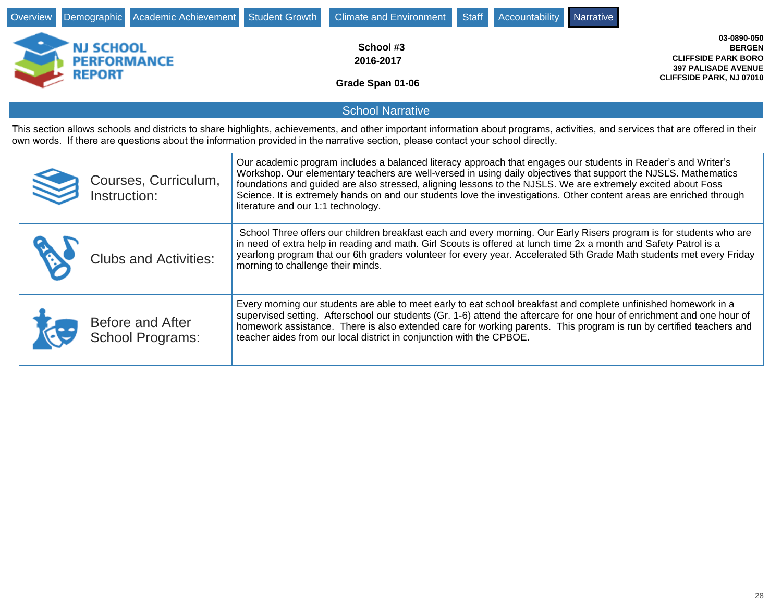| Overview                                                                                                                                                                                                                                                                                                                                                                                                                                                                                                                                               | Demographic                                      | Academic Achievement                                                                                                                                                                                                                                                                                               | <b>Student Growth</b>                                                                                                                                                                                                                                                                                                                                                                                                                    | <b>Climate and Environment</b>             | <b>Staff</b> | Accountability | <b>Narrative</b>                                                                                                            |  |  |  |
|--------------------------------------------------------------------------------------------------------------------------------------------------------------------------------------------------------------------------------------------------------------------------------------------------------------------------------------------------------------------------------------------------------------------------------------------------------------------------------------------------------------------------------------------------------|--------------------------------------------------|--------------------------------------------------------------------------------------------------------------------------------------------------------------------------------------------------------------------------------------------------------------------------------------------------------------------|------------------------------------------------------------------------------------------------------------------------------------------------------------------------------------------------------------------------------------------------------------------------------------------------------------------------------------------------------------------------------------------------------------------------------------------|--------------------------------------------|--------------|----------------|-----------------------------------------------------------------------------------------------------------------------------|--|--|--|
|                                                                                                                                                                                                                                                                                                                                                                                                                                                                                                                                                        | NJ SCHOOL<br><b>PERFORMANCE</b><br><b>REPORT</b> |                                                                                                                                                                                                                                                                                                                    |                                                                                                                                                                                                                                                                                                                                                                                                                                          | School #3<br>2016-2017<br>Grade Span 01-06 |              |                | 03-0890-050<br><b>BERGEN</b><br><b>CLIFFSIDE PARK BORO</b><br><b>397 PALISADE AVENUE</b><br><b>CLIFFSIDE PARK, NJ 07010</b> |  |  |  |
|                                                                                                                                                                                                                                                                                                                                                                                                                                                                                                                                                        |                                                  |                                                                                                                                                                                                                                                                                                                    |                                                                                                                                                                                                                                                                                                                                                                                                                                          | <b>School Narrative</b>                    |              |                |                                                                                                                             |  |  |  |
|                                                                                                                                                                                                                                                                                                                                                                                                                                                                                                                                                        |                                                  | This section allows schools and districts to share highlights, achievements, and other important information about programs, activities, and services that are offered in their<br>own words. If there are questions about the information provided in the narrative section, please contact your school directly. |                                                                                                                                                                                                                                                                                                                                                                                                                                          |                                            |              |                |                                                                                                                             |  |  |  |
| Our academic program includes a balanced literacy approach that engages our students in Reader's and Writer's<br>Workshop. Our elementary teachers are well-versed in using daily objectives that support the NJSLS. Mathematics<br>Courses, Curriculum,<br>foundations and guided are also stressed, aligning lessons to the NJSLS. We are extremely excited about Foss<br>Instruction:<br>Science. It is extremely hands on and our students love the investigations. Other content areas are enriched through<br>literature and our 1:1 technology. |                                                  |                                                                                                                                                                                                                                                                                                                    |                                                                                                                                                                                                                                                                                                                                                                                                                                          |                                            |              |                |                                                                                                                             |  |  |  |
|                                                                                                                                                                                                                                                                                                                                                                                                                                                                                                                                                        |                                                  | <b>Clubs and Activities:</b>                                                                                                                                                                                                                                                                                       | School Three offers our children breakfast each and every morning. Our Early Risers program is for students who are<br>in need of extra help in reading and math. Girl Scouts is offered at lunch time 2x a month and Safety Patrol is a<br>yearlong program that our 6th graders volunteer for every year. Accelerated 5th Grade Math students met every Friday<br>morning to challenge their minds.                                    |                                            |              |                |                                                                                                                             |  |  |  |
|                                                                                                                                                                                                                                                                                                                                                                                                                                                                                                                                                        |                                                  | Before and After<br><b>School Programs:</b>                                                                                                                                                                                                                                                                        | Every morning our students are able to meet early to eat school breakfast and complete unfinished homework in a<br>supervised setting. Afterschool our students (Gr. 1-6) attend the aftercare for one hour of enrichment and one hour of<br>homework assistance. There is also extended care for working parents. This program is run by certified teachers and<br>teacher aides from our local district in conjunction with the CPBOE. |                                            |              |                |                                                                                                                             |  |  |  |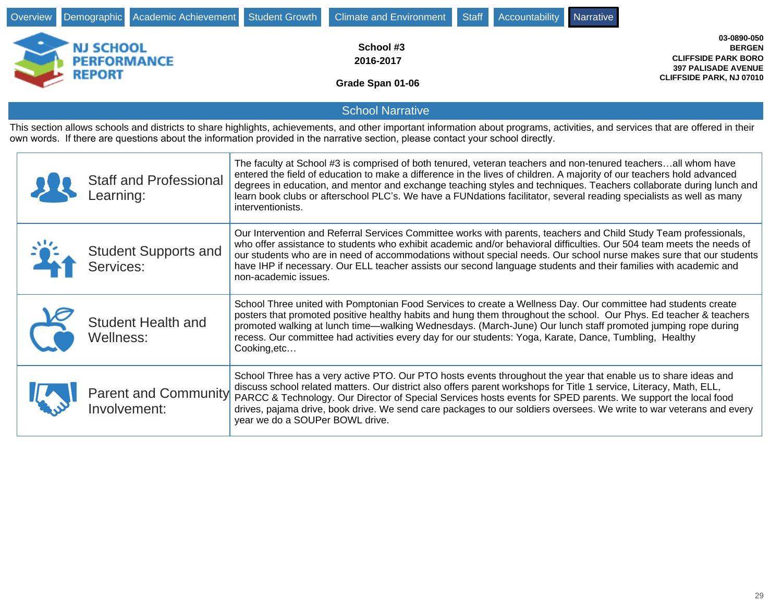| Overview |                                                         | Demographic Academic Achievement            | <b>Student Growth</b>                                                                                                                                                                                                                                                                                                                                                                                                                                                                                         | <b>Climate and Environment</b>                                                                                                                                                                                                                                                                                                                                                                                                                                                         | <b>Staff</b> | Accountability | Narrative |                                                                                                                      |
|----------|---------------------------------------------------------|---------------------------------------------|---------------------------------------------------------------------------------------------------------------------------------------------------------------------------------------------------------------------------------------------------------------------------------------------------------------------------------------------------------------------------------------------------------------------------------------------------------------------------------------------------------------|----------------------------------------------------------------------------------------------------------------------------------------------------------------------------------------------------------------------------------------------------------------------------------------------------------------------------------------------------------------------------------------------------------------------------------------------------------------------------------------|--------------|----------------|-----------|----------------------------------------------------------------------------------------------------------------------|
|          | <b>NJ SCHOOL</b><br><b>PERFORMANCE</b><br><b>REPORT</b> |                                             |                                                                                                                                                                                                                                                                                                                                                                                                                                                                                                               | School #3<br>2016-2017<br>Grade Span 01-06                                                                                                                                                                                                                                                                                                                                                                                                                                             |              |                |           | 03-0890-050<br><b>BERGEN</b><br><b>CLIFFSIDE PARK BORO</b><br><b>397 PALISADE AVENUE</b><br>CLIFFSIDE PARK, NJ 07010 |
|          |                                                         |                                             |                                                                                                                                                                                                                                                                                                                                                                                                                                                                                                               | <b>School Narrative</b>                                                                                                                                                                                                                                                                                                                                                                                                                                                                |              |                |           |                                                                                                                      |
|          |                                                         |                                             |                                                                                                                                                                                                                                                                                                                                                                                                                                                                                                               | This section allows schools and districts to share highlights, achievements, and other important information about programs, activities, and services that are offered in their<br>own words. If there are questions about the information provided in the narrative section, please contact your school directly.                                                                                                                                                                     |              |                |           |                                                                                                                      |
|          | Learning:                                               | <b>Staff and Professional</b>               | interventionists.                                                                                                                                                                                                                                                                                                                                                                                                                                                                                             | The faculty at School #3 is comprised of both tenured, veteran teachers and non-tenured teachersall whom have<br>entered the field of education to make a difference in the lives of children. A majority of our teachers hold advanced<br>degrees in education, and mentor and exchange teaching styles and techniques. Teachers collaborate during lunch and<br>learn book clubs or afterschool PLC's. We have a FUNdations facilitator, several reading specialists as well as many |              |                |           |                                                                                                                      |
|          | Services:                                               | <b>Student Supports and</b>                 | Our Intervention and Referral Services Committee works with parents, teachers and Child Study Team professionals,<br>who offer assistance to students who exhibit academic and/or behavioral difficulties. Our 504 team meets the needs of<br>our students who are in need of accommodations without special needs. Our school nurse makes sure that our students<br>have IHP if necessary. Our ELL teacher assists our second language students and their families with academic and<br>non-academic issues. |                                                                                                                                                                                                                                                                                                                                                                                                                                                                                        |              |                |           |                                                                                                                      |
|          | Wellness:                                               | <b>Student Health and</b>                   | School Three united with Pomptonian Food Services to create a Wellness Day. Our committee had students create<br>posters that promoted positive healthy habits and hung them throughout the school. Our Phys. Ed teacher & teachers<br>promoted walking at lunch time—walking Wednesdays. (March-June) Our lunch staff promoted jumping rope during<br>recess. Our committee had activities every day for our students: Yoga, Karate, Dance, Tumbling, Healthy<br>Cooking, etc                                |                                                                                                                                                                                                                                                                                                                                                                                                                                                                                        |              |                |           |                                                                                                                      |
|          |                                                         | <b>Parent and Community</b><br>Involvement: | year we do a SOUPer BOWL drive.                                                                                                                                                                                                                                                                                                                                                                                                                                                                               | School Three has a very active PTO. Our PTO hosts events throughout the year that enable us to share ideas and<br>discuss school related matters. Our district also offers parent workshops for Title 1 service, Literacy, Math, ELL,<br>PARCC & Technology. Our Director of Special Services hosts events for SPED parents. We support the local food<br>drives, pajama drive, book drive. We send care packages to our soldiers oversees. We write to war veterans and every         |              |                |           |                                                                                                                      |